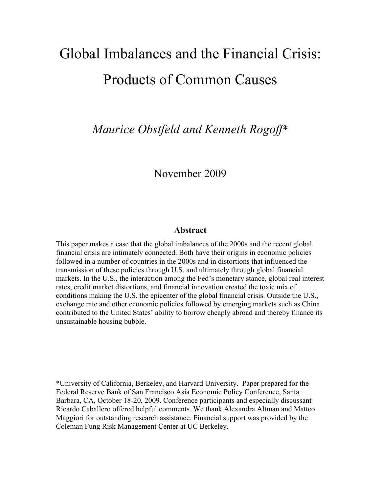# Global Imbalances and the Financial Crisis: Products of Common Causes

*Maurice Obstfeld and Kenneth Rogoff*\*

# November 2009

# **Abstract**

This paper makes a case that the global imbalances of the 2000s and the recent global financial crisis are intimately connected. Both have their origins in economic policies followed in a number of countries in the 2000s and in distortions that influenced the transmission of these policies through U.S. and ultimately through global financial markets. In the U.S., the interaction among the Fed's monetary stance, global real interest rates, credit market distortions, and financial innovation created the toxic mix of conditions making the U.S. the epicenter of the global financial crisis. Outside the U.S., exchange rate and other economic policies followed by emerging markets such as China contributed to the United States' ability to borrow cheaply abroad and thereby finance its unsustainable housing bubble.

\*University of California, Berkeley, and Harvard University. Paper prepared for the Federal Reserve Bank of San Francisco Asia Economic Policy Conference, Santa Barbara, CA, October 18-20, 2009. Conference participants and especially discussant Ricardo Caballero offered helpful comments. We thank Alexandra Altman and Matteo Maggiori for outstanding research assistance. Financial support was provided by the Coleman Fung Risk Management Center at UC Berkeley.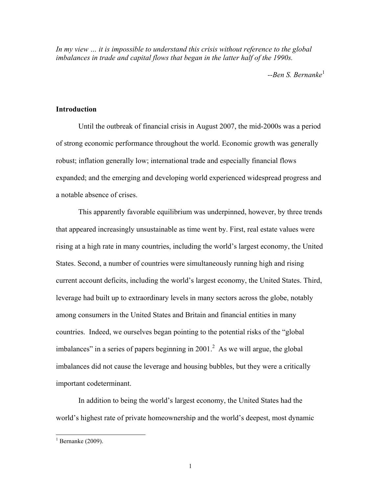*In my view … it is impossible to understand this crisis without reference to the global*  imbalances in trade and capital flows that began in the latter half of the 1990s.

--Ben S. Bernanke<sup>1</sup>

# **Introduction**

 Until the outbreak of financial crisis in August 2007, the mid-2000s was a period of strong economic performance throughout the world. Economic growth was generally robust; inflation generally low; international trade and especially financial flows expanded; and the emerging and developing world experienced widespread progress and a notable absence of crises.

 This apparently favorable equilibrium was underpinned, however, by three trends that appeared increasingly unsustainable as time went by. First, real estate values were rising at a high rate in many countries, including the world's largest economy, the United States. Second, a number of countries were simultaneously running high and rising current account deficits, including the world's largest economy, the United States. Third, leverage had built up to extraordinary levels in many sectors across the globe, notably among consumers in the United States and Britain and financial entities in many countries. Indeed, we ourselves began pointing to the potential risks of the "global imbalances" in a series of papers beginning in  $2001$ .<sup>2</sup> As we will argue, the global imbalances did not cause the leverage and housing bubbles, but they were a critically important codeterminant.

In addition to being the world's largest economy, the United States had the world's highest rate of private homeownership and the world's deepest, most dynamic

 $1$  Bernanke (2009).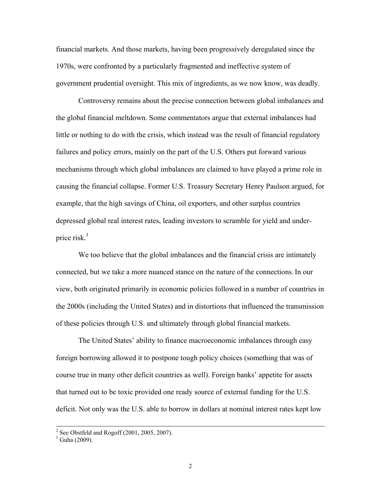financial markets. And those markets, having been progressively deregulated since the 1970s, were confronted by a particularly fragmented and ineffective system of government prudential oversight. This mix of ingredients, as we now know, was deadly.

 Controversy remains about the precise connection between global imbalances and the global financial meltdown. Some commentators argue that external imbalances had little or nothing to do with the crisis, which instead was the result of financial regulatory failures and policy errors, mainly on the part of the U.S. Others put forward various mechanisms through which global imbalances are claimed to have played a prime role in causing the financial collapse. Former U.S. Treasury Secretary Henry Paulson argued, for example, that the high savings of China, oil exporters, and other surplus countries depressed global real interest rates, leading investors to scramble for yield and underprice risk. $3$ 

We too believe that the global imbalances and the financial crisis are intimately connected, but we take a more nuanced stance on the nature of the connections.In our view, both originated primarily in economic policies followed in a number of countries in the 2000s (including the United States) and in distortions that influenced the transmission of these policies through U.S. and ultimately through global financial markets.

The United States' ability to finance macroeconomic imbalances through easy foreign borrowing allowed it to postpone tough policy choices (something that was of course true in many other deficit countries as well). Foreign banks' appetite for assets that turned out to be toxic provided one ready source of external funding for the U.S. deficit. Not only was the U.S. able to borrow in dollars at nominal interest rates kept low

<sup>&</sup>lt;sup>2</sup>  $2$  See Obstfeld and Rogoff (2001, 2005, 2007).

 $3$  Guha (2009).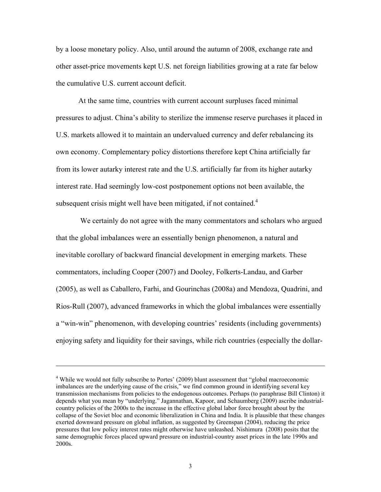by a loose monetary policy. Also, until around the autumn of 2008, exchange rate and other asset-price movements kept U.S. net foreign liabilities growing at a rate far below the cumulative U.S. current account deficit.

At the same time, countries with current account surpluses faced minimal pressures to adjust. China's ability to sterilize the immense reserve purchases it placed in U.S. markets allowed it to maintain an undervalued currency and defer rebalancing its own economy. Complementary policy distortions therefore kept China artificially far from its lower autarky interest rate and the U.S. artificially far from its higher autarky interest rate. Had seemingly low-cost postponement options not been available, the subsequent crisis might well have been mitigated, if not contained.<sup>4</sup>

 We certainly do not agree with the many commentators and scholars who argued that the global imbalances were an essentially benign phenomenon, a natural and inevitable corollary of backward financial development in emerging markets. These commentators, including Cooper (2007) and Dooley, Folkerts-Landau, and Garber (2005), as well as Caballero, Farhi, and Gourinchas (2008a) and Mendoza, Quadrini, and Rios-Rull (2007), advanced frameworks in which the global imbalances were essentially a "win-win" phenomenon, with developing countries' residents (including governments) enjoying safety and liquidity for their savings, while rich countries (especially the dollar-

<sup>&</sup>lt;sup>4</sup> While we would not fully subscribe to Portes' (2009) blunt assessment that "global macroeconomic imbalances are the underlying cause of the crisis," we find common ground in identifying several key transmission mechanisms from policies to the endogenous outcomes. Perhaps (to paraphrase Bill Clinton) it depends what you mean by "underlying." Jagannathan, Kapoor, and Schaumberg (2009) ascribe industrialcountry policies of the 2000s to the increase in the effective global labor force brought about by the collapse of the Soviet bloc and economic liberalization in China and India. It is plausible that these changes exerted downward pressure on global inflation, as suggested by Greenspan (2004), reducing the price pressures that low policy interest rates might otherwise have unleashed. Nishimura (2008) posits that the same demographic forces placed upward pressure on industrial-country asset prices in the late 1990s and 2000s.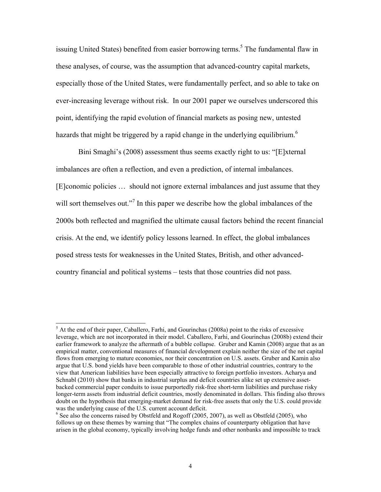issuing United States) benefited from easier borrowing terms.<sup>5</sup> The fundamental flaw in these analyses, of course, was the assumption that advanced-country capital markets, especially those of the United States, were fundamentally perfect, and so able to take on ever-increasing leverage without risk. In our 2001 paper we ourselves underscored this point, identifying the rapid evolution of financial markets as posing new, untested hazards that might be triggered by a rapid change in the underlying equilibrium.<sup>6</sup>

Bini Smaghi's (2008) assessment thus seems exactly right to us: "[E]xternal imbalances are often a reflection, and even a prediction, of internal imbalances. [E]conomic policies … should not ignore external imbalances and just assume that they will sort themselves out."<sup>7</sup> In this paper we describe how the global imbalances of the 2000s both reflected and magnified the ultimate causal factors behind the recent financial crisis. At the end, we identify policy lessons learned. In effect, the global imbalances posed stress tests for weaknesses in the United States, British, and other advancedcountry financial and political systems – tests that those countries did not pass.

<sup>&</sup>lt;sup>5</sup> At the end of their paper, Caballero, Farhi, and Gourinchas (2008a) point to the risks of excessive leverage, which are not incorporated in their model. Caballero, Farhi, and Gourinchas (2008b) extend their earlier framework to analyze the aftermath of a bubble collapse. Gruber and Kamin (2008) argue that as an empirical matter, conventional measures of financial development explain neither the size of the net capital flows from emerging to mature economies, nor their concentration on U.S. assets. Gruber and Kamin also argue that U.S. bond yields have been comparable to those of other industrial countries, contrary to the view that American liabilities have been especially attractive to foreign portfolio investors. Acharya and Schnabl (2010) show that banks in industrial surplus and deficit countries alike set up extensive assetbacked commercial paper conduits to issue purportedly risk-free short-term liabilities and purchase risky longer-term assets from industrial deficit countries, mostly denominated in dollars. This finding also throws doubt on the hypothesis that emerging-market demand for risk-free assets that only the U.S. could provide was the underlying cause of the U.S. current account deficit.

 $<sup>6</sup>$  See also the concerns raised by Obstfeld and Rogoff (2005, 2007), as well as Obstfeld (2005), who</sup> follows up on these themes by warning that "The complex chains of counterparty obligation that have arisen in the global economy, typically involving hedge funds and other nonbanks and impossible to track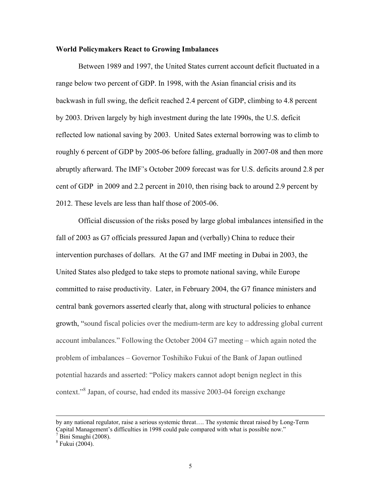### **World Policymakers React to Growing Imbalances**

 Between 1989 and 1997, the United States current account deficit fluctuated in a range below two percent of GDP. In 1998, with the Asian financial crisis and its backwash in full swing, the deficit reached 2.4 percent of GDP, climbing to 4.8 percent by 2003. Driven largely by high investment during the late 1990s, the U.S. deficit reflected low national saving by 2003. United Sates external borrowing was to climb to roughly 6 percent of GDP by 2005-06 before falling, gradually in 2007-08 and then more abruptly afterward. The IMF's October 2009 forecast was for U.S. deficits around 2.8 per cent of GDP in 2009 and 2.2 percent in 2010, then rising back to around 2.9 percent by 2012. These levels are less than half those of 2005-06.

 Official discussion of the risks posed by large global imbalances intensified in the fall of 2003 as G7 officials pressured Japan and (verbally) China to reduce their intervention purchases of dollars. At the G7 and IMF meeting in Dubai in 2003, the United States also pledged to take steps to promote national saving, while Europe committed to raise productivity. Later, in February 2004, the G7 finance ministers and central bank governors asserted clearly that, along with structural policies to enhance growth, "sound fiscal policies over the medium-term are key to addressing global current account imbalances." Following the October 2004 G7 meeting – which again noted the problem of imbalances – Governor Toshihiko Fukui of the Bank of Japan outlined potential hazards and asserted: "Policy makers cannot adopt benign neglect in this context."<sup>8</sup> Japan, of course, had ended its massive 2003-04 foreign exchange

by any national regulator, raise a serious systemic threat…. The systemic threat raised by Long-Term Capital Management's difficulties in 1998 could pale compared with what is possible now."

Bini Smaghi (2008).

<sup>8</sup> Fukui (2004).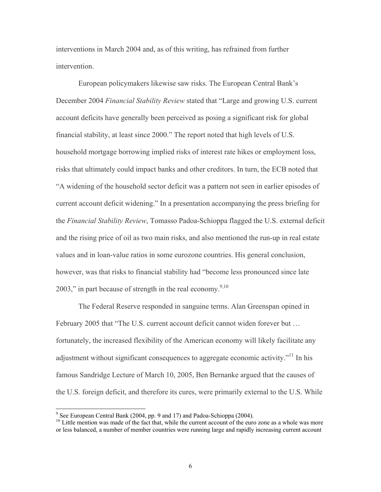interventions in March 2004 and, as of this writing, has refrained from further intervention.

European policymakers likewise saw risks. The European Central Bank's December 2004 *Financial Stability Review* stated that "Large and growing U.S. current account deficits have generally been perceived as posing a significant risk for global financial stability, at least since 2000." The report noted that high levels of U.S. household mortgage borrowing implied risks of interest rate hikes or employment loss, risks that ultimately could impact banks and other creditors. In turn, the ECB noted that "A widening of the household sector deficit was a pattern not seen in earlier episodes of current account deficit widening." In a presentation accompanying the press briefing for the *Financial Stability Review*, Tomasso Padoa-Schioppa flagged the U.S. external deficit and the rising price of oil as two main risks, and also mentioned the run-up in real estate values and in loan-value ratios in some eurozone countries. His general conclusion, however, was that risks to financial stability had "become less pronounced since late 2003," in part because of strength in the real economy.<sup>9,10</sup>

The Federal Reserve responded in sanguine terms. Alan Greenspan opined in February 2005 that "The U.S. current account deficit cannot widen forever but … fortunately, the increased flexibility of the American economy will likely facilitate any adjustment without significant consequences to aggregate economic activity."11 In his famous Sandridge Lecture of March 10, 2005, Ben Bernanke argued that the causes of the U.S. foreign deficit, and therefore its cures, were primarily external to the U.S. While

<sup>&</sup>lt;sup>9</sup> See European Central Bank (2004, pp. 9 and 17) and Padoa-Schioppa (2004).

<sup>&</sup>lt;sup>10</sup> Little mention was made of the fact that, while the current account of the euro zone as a whole was more or less balanced, a number of member countries were running large and rapidly increasing current account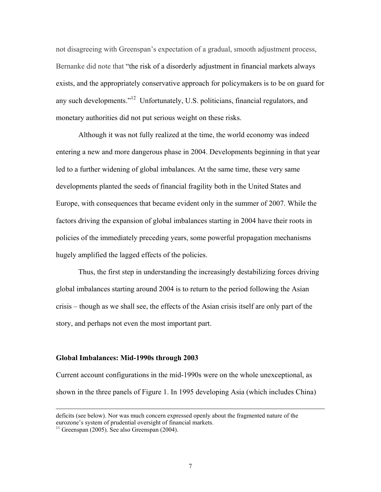not disagreeing with Greenspan's expectation of a gradual, smooth adjustment process, Bernanke did note that "the risk of a disorderly adjustment in financial markets always exists, and the appropriately conservative approach for policymakers is to be on guard for any such developments."12 Unfortunately, U.S. politicians, financial regulators, and monetary authorities did not put serious weight on these risks.

 Although it was not fully realized at the time, the world economy was indeed entering a new and more dangerous phase in 2004. Developments beginning in that year led to a further widening of global imbalances. At the same time, these very same developments planted the seeds of financial fragility both in the United States and Europe, with consequences that became evident only in the summer of 2007. While the factors driving the expansion of global imbalances starting in 2004 have their roots in policies of the immediately preceding years, some powerful propagation mechanisms hugely amplified the lagged effects of the policies.

Thus, the first step in understanding the increasingly destabilizing forces driving global imbalances starting around 2004 is to return to the period following the Asian crisis – though as we shall see, the effects of the Asian crisis itself are only part of the story, and perhaps not even the most important part.

#### **Global Imbalances: Mid-1990s through 2003**

Current account configurations in the mid-1990s were on the whole unexceptional, as shown in the three panels of Figure 1. In 1995 developing Asia (which includes China)

deficits (see below). Nor was much concern expressed openly about the fragmented nature of the eurozone's system of prudential oversight of financial markets.

 $11$  Greenspan (2005). See also Greenspan (2004).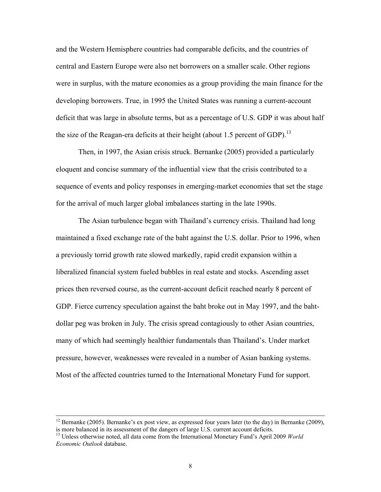and the Western Hemisphere countries had comparable deficits, and the countries of central and Eastern Europe were also net borrowers on a smaller scale. Other regions were in surplus, with the mature economies as a group providing the main finance for the developing borrowers. True, in 1995 the United States was running a current-account deficit that was large in absolute terms, but as a percentage of U.S. GDP it was about half the size of the Reagan-era deficits at their height (about 1.5 percent of GDP).<sup>13</sup>

Then, in 1997, the Asian crisis struck. Bernanke (2005) provided a particularly eloquent and concise summary of the influential view that the crisis contributed to a sequence of events and policy responses in emerging-market economies that set the stage for the arrival of much larger global imbalances starting in the late 1990s.

 The Asian turbulence began with Thailand's currency crisis. Thailand had long maintained a fixed exchange rate of the baht against the U.S. dollar. Prior to 1996, when a previously torrid growth rate slowed markedly, rapid credit expansion within a liberalized financial system fueled bubbles in real estate and stocks. Ascending asset prices then reversed course, as the current-account deficit reached nearly 8 percent of GDP. Fierce currency speculation against the baht broke out in May 1997, and the bahtdollar peg was broken in July. The crisis spread contagiously to other Asian countries, many of which had seemingly healthier fundamentals than Thailand's. Under market pressure, however, weaknesses were revealed in a number of Asian banking systems. Most of the affected countries turned to the International Monetary Fund for support.

<sup>&</sup>lt;sup>12</sup> Bernanke (2005). Bernanke's ex post view, as expressed four years later (to the day) in Bernanke (2009), is more balanced in its assessment of the dangers of large U.S. current account deficits.

<sup>&</sup>lt;sup>13</sup> Unless otherwise noted, all data come from the International Monetary Fund's April 2009 *World Economic Outlook* database.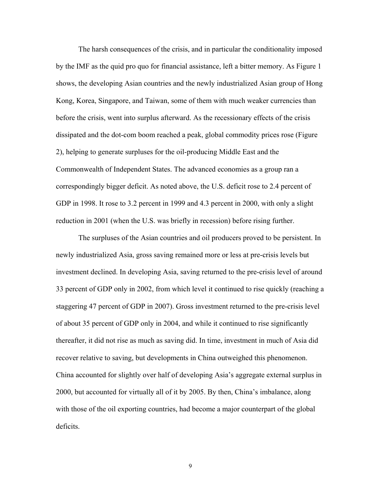The harsh consequences of the crisis, and in particular the conditionality imposed by the IMF as the quid pro quo for financial assistance, left a bitter memory. As Figure 1 shows, the developing Asian countries and the newly industrialized Asian group of Hong Kong, Korea, Singapore, and Taiwan, some of them with much weaker currencies than before the crisis, went into surplus afterward. As the recessionary effects of the crisis dissipated and the dot-com boom reached a peak, global commodity prices rose (Figure 2), helping to generate surpluses for the oil-producing Middle East and the Commonwealth of Independent States. The advanced economies as a group ran a correspondingly bigger deficit. As noted above, the U.S. deficit rose to 2.4 percent of GDP in 1998. It rose to 3.2 percent in 1999 and 4.3 percent in 2000, with only a slight reduction in 2001 (when the U.S. was briefly in recession) before rising further.

 The surpluses of the Asian countries and oil producers proved to be persistent. In newly industrialized Asia, gross saving remained more or less at pre-crisis levels but investment declined. In developing Asia, saving returned to the pre-crisis level of around 33 percent of GDP only in 2002, from which level it continued to rise quickly (reaching a staggering 47 percent of GDP in 2007). Gross investment returned to the pre-crisis level of about 35 percent of GDP only in 2004, and while it continued to rise significantly thereafter, it did not rise as much as saving did. In time, investment in much of Asia did recover relative to saving, but developments in China outweighed this phenomenon. China accounted for slightly over half of developing Asia's aggregate external surplus in 2000, but accounted for virtually all of it by 2005. By then, China's imbalance, along with those of the oil exporting countries, had become a major counterpart of the global deficits.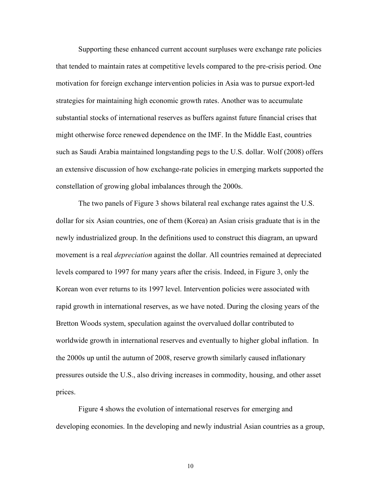Supporting these enhanced current account surpluses were exchange rate policies that tended to maintain rates at competitive levels compared to the pre-crisis period. One motivation for foreign exchange intervention policies in Asia was to pursue export-led strategies for maintaining high economic growth rates. Another was to accumulate substantial stocks of international reserves as buffers against future financial crises that might otherwise force renewed dependence on the IMF. In the Middle East, countries such as Saudi Arabia maintained longstanding pegs to the U.S. dollar. Wolf (2008) offers an extensive discussion of how exchange-rate policies in emerging markets supported the constellation of growing global imbalances through the 2000s.

The two panels of Figure 3 shows bilateral real exchange rates against the U.S. dollar for six Asian countries, one of them (Korea) an Asian crisis graduate that is in the newly industrialized group. In the definitions used to construct this diagram, an upward movement is a real *depreciation* against the dollar. All countries remained at depreciated levels compared to 1997 for many years after the crisis. Indeed, in Figure 3, only the Korean won ever returns to its 1997 level. Intervention policies were associated with rapid growth in international reserves, as we have noted. During the closing years of the Bretton Woods system, speculation against the overvalued dollar contributed to worldwide growth in international reserves and eventually to higher global inflation. In the 2000s up until the autumn of 2008, reserve growth similarly caused inflationary pressures outside the U.S., also driving increases in commodity, housing, and other asset prices.

Figure 4 shows the evolution of international reserves for emerging and developing economies. In the developing and newly industrial Asian countries as a group,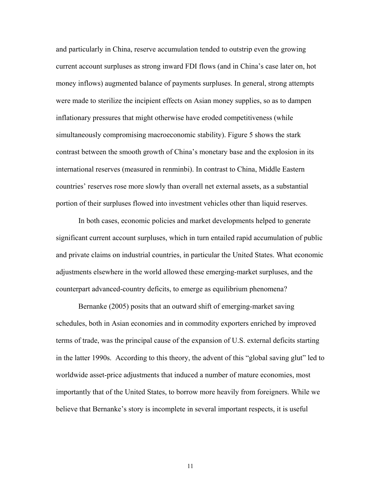and particularly in China, reserve accumulation tended to outstrip even the growing current account surpluses as strong inward FDI flows (and in China's case later on, hot money inflows) augmented balance of payments surpluses. In general, strong attempts were made to sterilize the incipient effects on Asian money supplies, so as to dampen inflationary pressures that might otherwise have eroded competitiveness (while simultaneously compromising macroeconomic stability). Figure 5 shows the stark contrast between the smooth growth of China's monetary base and the explosion in its international reserves (measured in renminbi). In contrast to China, Middle Eastern countries' reserves rose more slowly than overall net external assets, as a substantial portion of their surpluses flowed into investment vehicles other than liquid reserves.

In both cases, economic policies and market developments helped to generate significant current account surpluses, which in turn entailed rapid accumulation of public and private claims on industrial countries, in particular the United States. What economic adjustments elsewhere in the world allowed these emerging-market surpluses, and the counterpart advanced-country deficits, to emerge as equilibrium phenomena?

Bernanke (2005) posits that an outward shift of emerging-market saving schedules, both in Asian economies and in commodity exporters enriched by improved terms of trade, was the principal cause of the expansion of U.S. external deficits starting in the latter 1990s. According to this theory, the advent of this "global saving glut" led to worldwide asset-price adjustments that induced a number of mature economies, most importantly that of the United States, to borrow more heavily from foreigners. While we believe that Bernanke's story is incomplete in several important respects, it is useful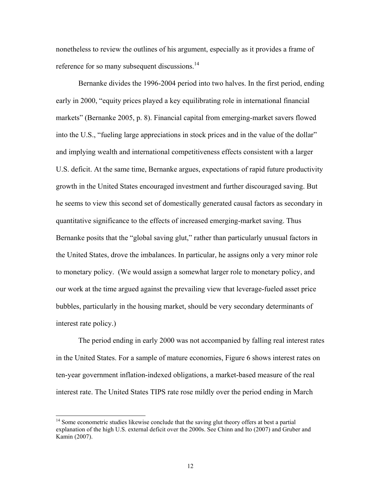nonetheless to review the outlines of his argument, especially as it provides a frame of reference for so many subsequent discussions.<sup>14</sup>

Bernanke divides the 1996-2004 period into two halves. In the first period, ending early in 2000, "equity prices played a key equilibrating role in international financial markets" (Bernanke 2005, p. 8). Financial capital from emerging-market savers flowed into the U.S., "fueling large appreciations in stock prices and in the value of the dollar" and implying wealth and international competitiveness effects consistent with a larger U.S. deficit. At the same time, Bernanke argues, expectations of rapid future productivity growth in the United States encouraged investment and further discouraged saving. But he seems to view this second set of domestically generated causal factors as secondary in quantitative significance to the effects of increased emerging-market saving. Thus Bernanke posits that the "global saving glut," rather than particularly unusual factors in the United States, drove the imbalances. In particular, he assigns only a very minor role to monetary policy. (We would assign a somewhat larger role to monetary policy, and our work at the time argued against the prevailing view that leverage-fueled asset price bubbles, particularly in the housing market, should be very secondary determinants of interest rate policy.)

The period ending in early 2000 was not accompanied by falling real interest rates in the United States. For a sample of mature economies, Figure 6 shows interest rates on ten-year government inflation-indexed obligations, a market-based measure of the real interest rate. The United States TIPS rate rose mildly over the period ending in March

<sup>&</sup>lt;sup>14</sup> Some econometric studies likewise conclude that the saving glut theory offers at best a partial explanation of the high U.S. external deficit over the 2000s. See Chinn and Ito (2007) and Gruber and Kamin (2007).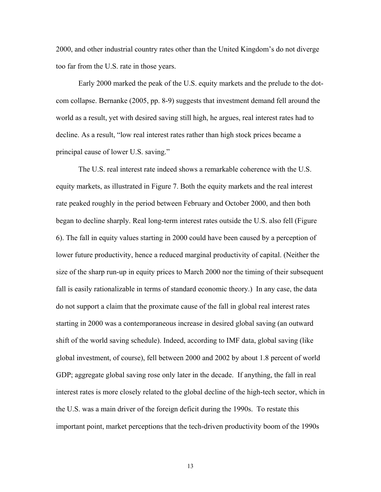2000, and other industrial country rates other than the United Kingdom's do not diverge too far from the U.S. rate in those years.

Early 2000 marked the peak of the U.S. equity markets and the prelude to the dotcom collapse. Bernanke (2005, pp. 8-9) suggests that investment demand fell around the world as a result, yet with desired saving still high, he argues, real interest rates had to decline. As a result, "low real interest rates rather than high stock prices became a principal cause of lower U.S. saving."

The U.S. real interest rate indeed shows a remarkable coherence with the U.S. equity markets, as illustrated in Figure 7. Both the equity markets and the real interest rate peaked roughly in the period between February and October 2000, and then both began to decline sharply. Real long-term interest rates outside the U.S. also fell (Figure 6). The fall in equity values starting in 2000 could have been caused by a perception of lower future productivity, hence a reduced marginal productivity of capital. (Neither the size of the sharp run-up in equity prices to March 2000 nor the timing of their subsequent fall is easily rationalizable in terms of standard economic theory.) In any case, the data do not support a claim that the proximate cause of the fall in global real interest rates starting in 2000 was a contemporaneous increase in desired global saving (an outward shift of the world saving schedule). Indeed, according to IMF data, global saving (like global investment, of course), fell between 2000 and 2002 by about 1.8 percent of world GDP; aggregate global saving rose only later in the decade. If anything, the fall in real interest rates is more closely related to the global decline of the high-tech sector, which in the U.S. was a main driver of the foreign deficit during the 1990s. To restate this important point, market perceptions that the tech-driven productivity boom of the 1990s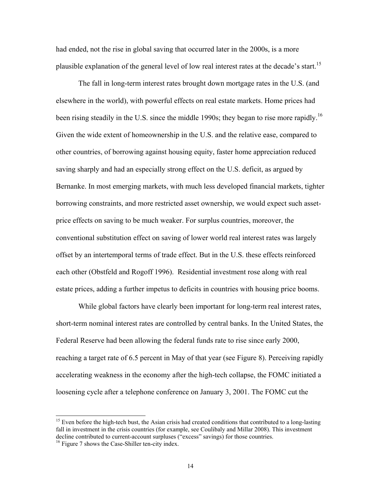had ended, not the rise in global saving that occurred later in the 2000s, is a more plausible explanation of the general level of low real interest rates at the decade's start.<sup>15</sup>

The fall in long-term interest rates brought down mortgage rates in the U.S. (and elsewhere in the world), with powerful effects on real estate markets. Home prices had been rising steadily in the U.S. since the middle 1990s; they began to rise more rapidly.<sup>16</sup> Given the wide extent of homeownership in the U.S. and the relative ease, compared to other countries, of borrowing against housing equity, faster home appreciation reduced saving sharply and had an especially strong effect on the U.S. deficit, as argued by Bernanke. In most emerging markets, with much less developed financial markets, tighter borrowing constraints, and more restricted asset ownership, we would expect such assetprice effects on saving to be much weaker. For surplus countries, moreover, the conventional substitution effect on saving of lower world real interest rates was largely offset by an intertemporal terms of trade effect. But in the U.S. these effects reinforced each other (Obstfeld and Rogoff 1996). Residential investment rose along with real estate prices, adding a further impetus to deficits in countries with housing price booms.

While global factors have clearly been important for long-term real interest rates, short-term nominal interest rates are controlled by central banks. In the United States, the Federal Reserve had been allowing the federal funds rate to rise since early 2000, reaching a target rate of 6.5 percent in May of that year (see Figure 8). Perceiving rapidly accelerating weakness in the economy after the high-tech collapse, the FOMC initiated a loosening cycle after a telephone conference on January 3, 2001. The FOMC cut the

<sup>&</sup>lt;sup>15</sup> Even before the high-tech bust, the Asian crisis had created conditions that contributed to a long-lasting fall in investment in the crisis countries (for example, see Coulibaly and Millar 2008). This investment decline contributed to current-account surpluses ("excess" savings) for those countries. <sup>16</sup> Figure 7 shows the Case-Shiller ten-city index.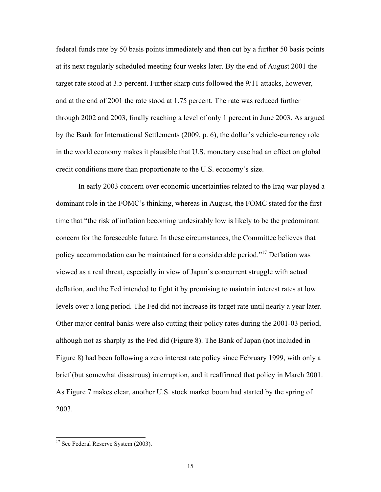federal funds rate by 50 basis points immediately and then cut by a further 50 basis points at its next regularly scheduled meeting four weeks later. By the end of August 2001 the target rate stood at 3.5 percent. Further sharp cuts followed the 9/11 attacks, however, and at the end of 2001 the rate stood at 1.75 percent. The rate was reduced further through 2002 and 2003, finally reaching a level of only 1 percent in June 2003. As argued by the Bank for International Settlements (2009, p. 6), the dollar's vehicle-currency role in the world economy makes it plausible that U.S. monetary ease had an effect on global credit conditions more than proportionate to the U.S. economy's size.

In early 2003 concern over economic uncertainties related to the Iraq war played a dominant role in the FOMC's thinking, whereas in August, the FOMC stated for the first time that "the risk of inflation becoming undesirably low is likely to be the predominant concern for the foreseeable future. In these circumstances, the Committee believes that policy accommodation can be maintained for a considerable period."17 Deflation was viewed as a real threat, especially in view of Japan's concurrent struggle with actual deflation, and the Fed intended to fight it by promising to maintain interest rates at low levels over a long period. The Fed did not increase its target rate until nearly a year later. Other major central banks were also cutting their policy rates during the 2001-03 period, although not as sharply as the Fed did (Figure 8). The Bank of Japan (not included in Figure 8) had been following a zero interest rate policy since February 1999, with only a brief (but somewhat disastrous) interruption, and it reaffirmed that policy in March 2001. As Figure 7 makes clear, another U.S. stock market boom had started by the spring of 2003.

<sup>&</sup>lt;sup>17</sup> See Federal Reserve System (2003).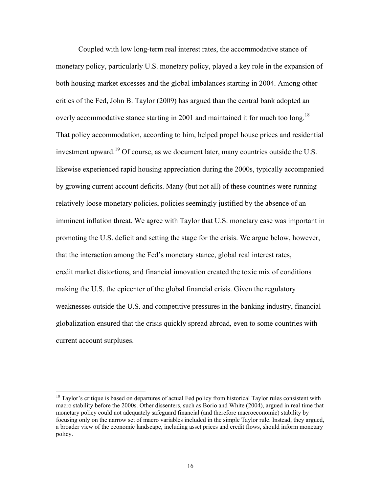Coupled with low long-term real interest rates, the accommodative stance of monetary policy, particularly U.S. monetary policy, played a key role in the expansion of both housing-market excesses and the global imbalances starting in 2004. Among other critics of the Fed, John B. Taylor (2009) has argued than the central bank adopted an overly accommodative stance starting in 2001 and maintained it for much too long.<sup>18</sup> That policy accommodation, according to him, helped propel house prices and residential investment upward.<sup>19</sup> Of course, as we document later, many countries outside the U.S. likewise experienced rapid housing appreciation during the 2000s, typically accompanied by growing current account deficits. Many (but not all) of these countries were running relatively loose monetary policies, policies seemingly justified by the absence of an imminent inflation threat. We agree with Taylor that U.S. monetary ease was important in promoting the U.S. deficit and setting the stage for the crisis. We argue below, however, that the interaction among the Fed's monetary stance, global real interest rates, credit market distortions, and financial innovation created the toxic mix of conditions making the U.S. the epicenter of the global financial crisis. Given the regulatory weaknesses outside the U.S. and competitive pressures in the banking industry, financial globalization ensured that the crisis quickly spread abroad, even to some countries with current account surpluses.

<sup>&</sup>lt;sup>18</sup> Taylor's critique is based on departures of actual Fed policy from historical Taylor rules consistent with macro stability before the 2000s. Other dissenters, such as Borio and White (2004), argued in real time that monetary policy could not adequately safeguard financial (and therefore macroeconomic) stability by focusing only on the narrow set of macro variables included in the simple Taylor rule. Instead, they argued, a broader view of the economic landscape, including asset prices and credit flows, should inform monetary policy.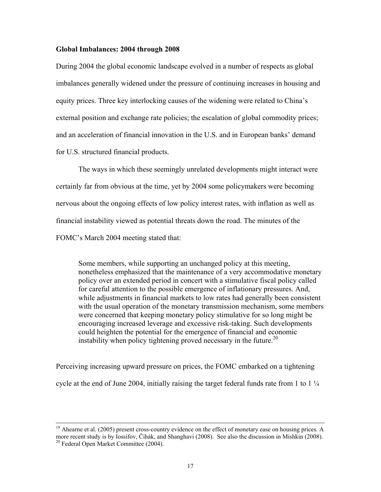#### **Global Imbalances: 2004 through 2008**

During 2004 the global economic landscape evolved in a number of respects as global imbalances generally widened under the pressure of continuing increases in housing and equity prices. Three key interlocking causes of the widening were related to China's external position and exchange rate policies; the escalation of global commodity prices; and an acceleration of financial innovation in the U.S. and in European banks' demand for U.S. structured financial products.

 The ways in which these seemingly unrelated developments might interact were certainly far from obvious at the time, yet by 2004 some policymakers were becoming nervous about the ongoing effects of low policy interest rates, with inflation as well as financial instability viewed as potential threats down the road. The minutes of the FOMC's March 2004 meeting stated that:

Some members, while supporting an unchanged policy at this meeting, nonetheless emphasized that the maintenance of a very accommodative monetary policy over an extended period in concert with a stimulative fiscal policy called for careful attention to the possible emergence of inflationary pressures. And, while adjustments in financial markets to low rates had generally been consistent with the usual operation of the monetary transmission mechanism, some members were concerned that keeping monetary policy stimulative for so long might be encouraging increased leverage and excessive risk-taking. Such developments could heighten the potential for the emergence of financial and economic instability when policy tightening proved necessary in the future.<sup>20</sup>

Perceiving increasing upward pressure on prices, the FOMC embarked on a tightening cycle at the end of June 2004, initially raising the target federal funds rate from 1 to  $1\frac{1}{4}$ 

 $19$  Ahearne et al. (2005) present cross-country evidence on the effect of monetary ease on housing prices. A more recent study is by Iossifov, Čihák, and Shanghavi (2008). See also the discussion in Mishkin (2008). <sup>20</sup> Federal Open Market Committee (2004).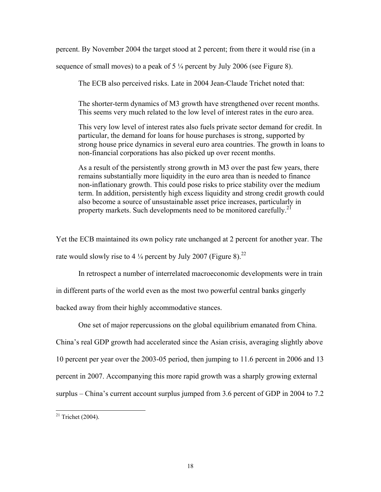percent. By November 2004 the target stood at 2 percent; from there it would rise (in a

sequence of small moves) to a peak of 5 ¼ percent by July 2006 (see Figure 8).

The ECB also perceived risks. Late in 2004 Jean-Claude Trichet noted that:

The shorter-term dynamics of M3 growth have strengthened over recent months. This seems very much related to the low level of interest rates in the euro area.

This very low level of interest rates also fuels private sector demand for credit. In particular, the demand for loans for house purchases is strong, supported by strong house price dynamics in several euro area countries. The growth in loans to non-financial corporations has also picked up over recent months.

As a result of the persistently strong growth in M3 over the past few years, there remains substantially more liquidity in the euro area than is needed to finance non-inflationary growth. This could pose risks to price stability over the medium term. In addition, persistently high excess liquidity and strong credit growth could also become a source of unsustainable asset price increases, particularly in property markets. Such developments need to be monitored carefully.<sup>21</sup>

Yet the ECB maintained its own policy rate unchanged at 2 percent for another year. The rate would slowly rise to 4  $\frac{1}{4}$  percent by July 2007 (Figure 8).<sup>22</sup>

In retrospect a number of interrelated macroeconomic developments were in train

in different parts of the world even as the most two powerful central banks gingerly

backed away from their highly accommodative stances.

One set of major repercussions on the global equilibrium emanated from China. China's real GDP growth had accelerated since the Asian crisis, averaging slightly above 10 percent per year over the 2003-05 period, then jumping to 11.6 percent in 2006 and 13 percent in 2007. Accompanying this more rapid growth was a sharply growing external surplus – China's current account surplus jumped from 3.6 percent of GDP in 2004 to 7.2

 $21$  Trichet (2004).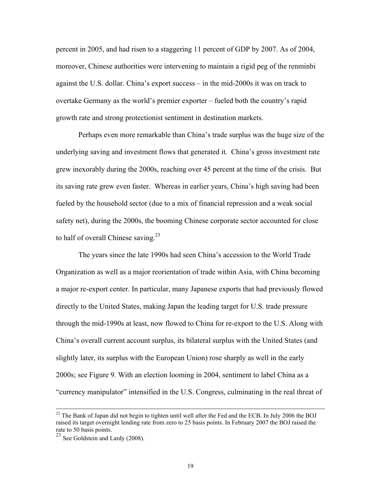percent in 2005, and had risen to a staggering 11 percent of GDP by 2007. As of 2004, moreover, Chinese authorities were intervening to maintain a rigid peg of the renminbi against the U.S. dollar. China's export success – in the mid-2000s it was on track to overtake Germany as the world's premier exporter – fueled both the country's rapid growth rate and strong protectionist sentiment in destination markets.

Perhaps even more remarkable than China's trade surplus was the huge size of the underlying saving and investment flows that generated it. China's gross investment rate grew inexorably during the 2000s, reaching over 45 percent at the time of the crisis. But its saving rate grew even faster. Whereas in earlier years, China's high saving had been fueled by the household sector (due to a mix of financial repression and a weak social safety net), during the 2000s, the booming Chinese corporate sector accounted for close to half of overall Chinese saving.<sup>23</sup>

The years since the late 1990s had seen China's accession to the World Trade Organization as well as a major reorientation of trade within Asia, with China becoming a major re-export center. In particular, many Japanese exports that had previously flowed directly to the United States, making Japan the leading target for U.S. trade pressure through the mid-1990s at least, now flowed to China for re-export to the U.S. Along with China's overall current account surplus, its bilateral surplus with the United States (and slightly later, its surplus with the European Union) rose sharply as well in the early 2000s; see Figure 9. With an election looming in 2004, sentiment to label China as a "currency manipulator" intensified in the U.S. Congress, culminating in the real threat of

<sup>&</sup>lt;sup>22</sup> The Bank of Japan did not begin to tighten until well after the Fed and the ECB. In July 2006 the BOJ raised its target overnight lending rate from zero to 25 basis points. In February 2007 the BOJ raised the rate to 50 basis points.

 $23$  See Goldstein and Lardy (2008).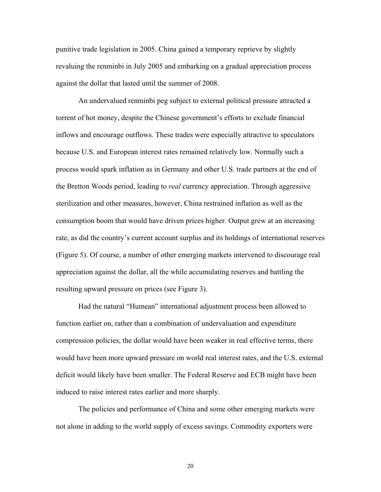punitive trade legislation in 2005. China gained a temporary reprieve by slightly revaluing the renminbi in July 2005 and embarking on a gradual appreciation process against the dollar that lasted until the summer of 2008.

An undervalued renminbi peg subject to external political pressure attracted a torrent of hot money, despite the Chinese government's efforts to exclude financial inflows and encourage outflows. These trades were especially attractive to speculators because U.S. and European interest rates remained relatively low. Normally such a process would spark inflation as in Germany and other U.S. trade partners at the end of the Bretton Woods period, leading to *real* currency appreciation. Through aggressive sterilization and other measures, however, China restrained inflation as well as the consumption boom that would have driven prices higher. Output grew at an increasing rate, as did the country's current account surplus and its holdings of international reserves (Figure 5). Of course, a number of other emerging markets intervened to discourage real appreciation against the dollar, all the while accumulating reserves and battling the resulting upward pressure on prices (see Figure 3).

Had the natural "Humean" international adjustment process been allowed to function earlier on, rather than a combination of undervaluation and expenditure compression policies, the dollar would have been weaker in real effective terms, there would have been more upward pressure on world real interest rates, and the U.S. external deficit would likely have been smaller. The Federal Reserve and ECB might have been induced to raise interest rates earlier and more sharply.

The policies and performance of China and some other emerging markets were not alone in adding to the world supply of excess savings. Commodity exporters were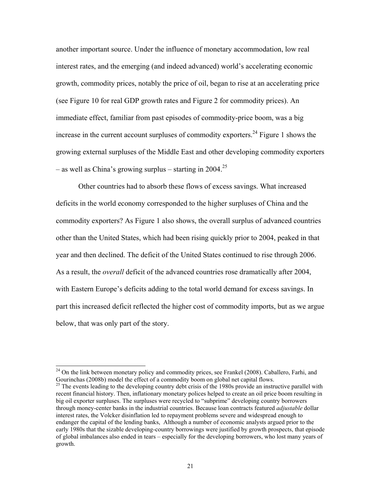another important source. Under the influence of monetary accommodation, low real interest rates, and the emerging (and indeed advanced) world's accelerating economic growth, commodity prices, notably the price of oil, began to rise at an accelerating price (see Figure 10 for real GDP growth rates and Figure 2 for commodity prices). An immediate effect, familiar from past episodes of commodity-price boom, was a big increase in the current account surpluses of commodity exporters.<sup>24</sup> Figure 1 shows the growing external surpluses of the Middle East and other developing commodity exporters – as well as China's growing surplus – starting in  $2004$ <sup>25</sup>

Other countries had to absorb these flows of excess savings. What increased deficits in the world economy corresponded to the higher surpluses of China and the commodity exporters? As Figure 1 also shows, the overall surplus of advanced countries other than the United States, which had been rising quickly prior to 2004, peaked in that year and then declined. The deficit of the United States continued to rise through 2006. As a result, the *overall* deficit of the advanced countries rose dramatically after 2004, with Eastern Europe's deficits adding to the total world demand for excess savings. In part this increased deficit reflected the higher cost of commodity imports, but as we argue below, that was only part of the story.

<sup>&</sup>lt;sup>24</sup> On the link between monetary policy and commodity prices, see Frankel (2008). Caballero, Farhi, and Gourinchas (2008b) model the effect of a commodity boom on global net capital flows.

<sup>&</sup>lt;sup>25</sup> The events leading to the developing country debt crisis of the 1980s provide an instructive parallel with recent financial history. Then, inflationary monetary polices helped to create an oil price boom resulting in big oil exporter surpluses. The surpluses were recycled to "subprime" developing country borrowers through money-center banks in the industrial countries. Because loan contracts featured *adjustable* dollar interest rates, the Volcker disinflation led to repayment problems severe and widespread enough to endanger the capital of the lending banks, Although a number of economic analysts argued prior to the early 1980s that the sizable developing-country borrowings were justified by growth prospects, that episode of global imbalances also ended in tears – especially for the developing borrowers, who lost many years of growth.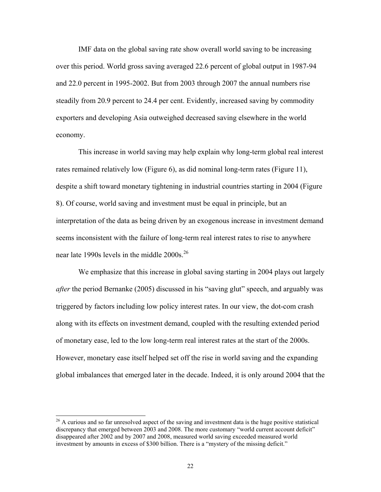IMF data on the global saving rate show overall world saving to be increasing over this period. World gross saving averaged 22.6 percent of global output in 1987-94 and 22.0 percent in 1995-2002. But from 2003 through 2007 the annual numbers rise steadily from 20.9 percent to 24.4 per cent. Evidently, increased saving by commodity exporters and developing Asia outweighed decreased saving elsewhere in the world economy.

This increase in world saving may help explain why long-term global real interest rates remained relatively low (Figure 6), as did nominal long-term rates (Figure 11), despite a shift toward monetary tightening in industrial countries starting in 2004 (Figure 8). Of course, world saving and investment must be equal in principle, but an interpretation of the data as being driven by an exogenous increase in investment demand seems inconsistent with the failure of long-term real interest rates to rise to anywhere near late 1990s levels in the middle  $2000s$ <sup>26</sup>

We emphasize that this increase in global saving starting in 2004 plays out largely *after* the period Bernanke (2005) discussed in his "saving glut" speech, and arguably was triggered by factors including low policy interest rates. In our view, the dot-com crash along with its effects on investment demand, coupled with the resulting extended period of monetary ease, led to the low long-term real interest rates at the start of the 2000s. However, monetary ease itself helped set off the rise in world saving and the expanding global imbalances that emerged later in the decade. Indeed, it is only around 2004 that the

 $^{26}$  A curious and so far unresolved aspect of the saving and investment data is the huge positive statistical discrepancy that emerged between 2003 and 2008. The more customary "world current account deficit" disappeared after 2002 and by 2007 and 2008, measured world saving exceeded measured world investment by amounts in excess of \$300 billion. There is a "mystery of the missing deficit."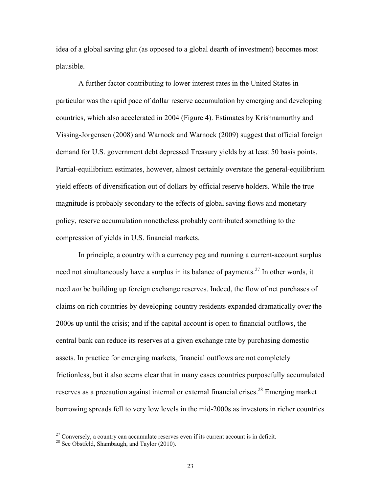idea of a global saving glut (as opposed to a global dearth of investment) becomes most plausible.

A further factor contributing to lower interest rates in the United States in particular was the rapid pace of dollar reserve accumulation by emerging and developing countries, which also accelerated in 2004 (Figure 4). Estimates by Krishnamurthy and Vissing-Jorgensen (2008) and Warnock and Warnock (2009) suggest that official foreign demand for U.S. government debt depressed Treasury yields by at least 50 basis points. Partial-equilibrium estimates, however, almost certainly overstate the general-equilibrium yield effects of diversification out of dollars by official reserve holders. While the true magnitude is probably secondary to the effects of global saving flows and monetary policy, reserve accumulation nonetheless probably contributed something to the compression of yields in U.S. financial markets.

In principle, a country with a currency peg and running a current-account surplus need not simultaneously have a surplus in its balance of payments.<sup>27</sup> In other words, it need *not* be building up foreign exchange reserves. Indeed, the flow of net purchases of claims on rich countries by developing-country residents expanded dramatically over the 2000s up until the crisis; and if the capital account is open to financial outflows, the central bank can reduce its reserves at a given exchange rate by purchasing domestic assets. In practice for emerging markets, financial outflows are not completely frictionless, but it also seems clear that in many cases countries purposefully accumulated reserves as a precaution against internal or external financial crises.<sup>28</sup> Emerging market borrowing spreads fell to very low levels in the mid-2000s as investors in richer countries

<sup>&</sup>lt;sup>27</sup> Conversely, a country can accumulate reserves even if its current account is in deficit. <sup>28</sup> See Obstfeld, Shambaugh, and Taylor (2010).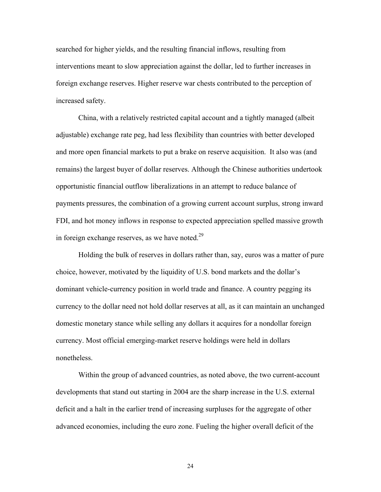searched for higher yields, and the resulting financial inflows, resulting from interventions meant to slow appreciation against the dollar, led to further increases in foreign exchange reserves. Higher reserve war chests contributed to the perception of increased safety.

China, with a relatively restricted capital account and a tightly managed (albeit adjustable) exchange rate peg, had less flexibility than countries with better developed and more open financial markets to put a brake on reserve acquisition. It also was (and remains) the largest buyer of dollar reserves. Although the Chinese authorities undertook opportunistic financial outflow liberalizations in an attempt to reduce balance of payments pressures, the combination of a growing current account surplus, strong inward FDI, and hot money inflows in response to expected appreciation spelled massive growth in foreign exchange reserves, as we have noted.<sup>29</sup>

Holding the bulk of reserves in dollars rather than, say, euros was a matter of pure choice, however, motivated by the liquidity of U.S. bond markets and the dollar's dominant vehicle-currency position in world trade and finance. A country pegging its currency to the dollar need not hold dollar reserves at all, as it can maintain an unchanged domestic monetary stance while selling any dollars it acquires for a nondollar foreign currency. Most official emerging-market reserve holdings were held in dollars nonetheless.

Within the group of advanced countries, as noted above, the two current-account developments that stand out starting in 2004 are the sharp increase in the U.S. external deficit and a halt in the earlier trend of increasing surpluses for the aggregate of other advanced economies, including the euro zone. Fueling the higher overall deficit of the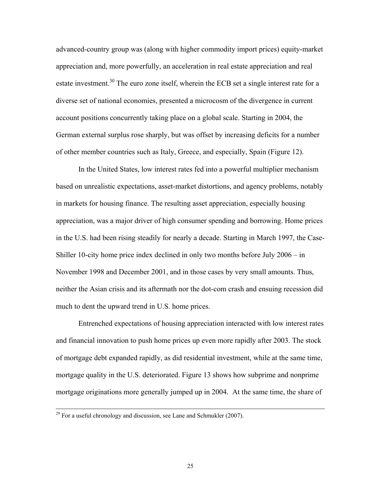advanced-country group was (along with higher commodity import prices) equity-market appreciation and, more powerfully, an acceleration in real estate appreciation and real estate investment.<sup>30</sup> The euro zone itself, wherein the ECB set a single interest rate for a diverse set of national economies, presented a microcosm of the divergence in current account positions concurrently taking place on a global scale. Starting in 2004, the German external surplus rose sharply, but was offset by increasing deficits for a number of other member countries such as Italy, Greece, and especially, Spain (Figure 12).

In the United States, low interest rates fed into a powerful multiplier mechanism based on unrealistic expectations, asset-market distortions, and agency problems, notably in markets for housing finance. The resulting asset appreciation, especially housing appreciation, was a major driver of high consumer spending and borrowing. Home prices in the U.S. had been rising steadily for nearly a decade. Starting in March 1997, the Case-Shiller 10-city home price index declined in only two months before July 2006 – in November 1998 and December 2001, and in those cases by very small amounts. Thus, neither the Asian crisis and its aftermath nor the dot-com crash and ensuing recession did much to dent the upward trend in U.S. home prices.

Entrenched expectations of housing appreciation interacted with low interest rates and financial innovation to push home prices up even more rapidly after 2003. The stock of mortgage debt expanded rapidly, as did residential investment, while at the same time, mortgage quality in the U.S. deteriorated. Figure 13 shows how subprime and nonprime mortgage originations more generally jumped up in 2004. At the same time, the share of

<sup>&</sup>lt;sup>29</sup> For a useful chronology and discussion, see Lane and Schmukler (2007).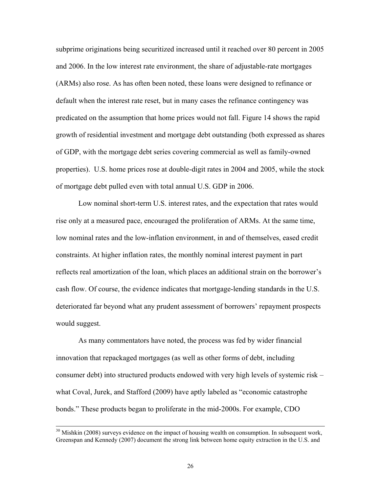subprime originations being securitized increased until it reached over 80 percent in 2005 and 2006. In the low interest rate environment, the share of adjustable-rate mortgages (ARMs) also rose. As has often been noted, these loans were designed to refinance or default when the interest rate reset, but in many cases the refinance contingency was predicated on the assumption that home prices would not fall. Figure 14 shows the rapid growth of residential investment and mortgage debt outstanding (both expressed as shares of GDP, with the mortgage debt series covering commercial as well as family-owned properties). U.S. home prices rose at double-digit rates in 2004 and 2005, while the stock of mortgage debt pulled even with total annual U.S. GDP in 2006.

Low nominal short-term U.S. interest rates, and the expectation that rates would rise only at a measured pace, encouraged the proliferation of ARMs. At the same time, low nominal rates and the low-inflation environment, in and of themselves, eased credit constraints. At higher inflation rates, the monthly nominal interest payment in part reflects real amortization of the loan, which places an additional strain on the borrower's cash flow. Of course, the evidence indicates that mortgage-lending standards in the U.S. deteriorated far beyond what any prudent assessment of borrowers' repayment prospects would suggest.

As many commentators have noted, the process was fed by wider financial innovation that repackaged mortgages (as well as other forms of debt, including consumer debt) into structured products endowed with very high levels of systemic risk – what Coval, Jurek, and Stafford (2009) have aptly labeled as "economic catastrophe bonds." These products began to proliferate in the mid-2000s. For example, CDO

<sup>&</sup>lt;sup>30</sup> Mishkin (2008) surveys evidence on the impact of housing wealth on consumption. In subsequent work, Greenspan and Kennedy (2007) document the strong link between home equity extraction in the U.S. and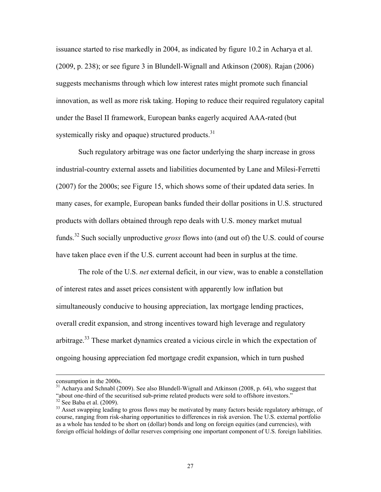issuance started to rise markedly in 2004, as indicated by figure 10.2 in Acharya et al. (2009, p. 238); or see figure 3 in Blundell-Wignall and Atkinson (2008). Rajan (2006) suggests mechanisms through which low interest rates might promote such financial innovation, as well as more risk taking. Hoping to reduce their required regulatory capital under the Basel II framework, European banks eagerly acquired AAA-rated (but systemically risky and opaque) structured products. $31$ 

Such regulatory arbitrage was one factor underlying the sharp increase in gross industrial-country external assets and liabilities documented by Lane and Milesi-Ferretti (2007) for the 2000s; see Figure 15, which shows some of their updated data series. In many cases, for example, European banks funded their dollar positions in U.S. structured products with dollars obtained through repo deals with U.S. money market mutual funds.32 Such socially unproductive *gross* flows into (and out of) the U.S. could of course have taken place even if the U.S. current account had been in surplus at the time.

The role of the U.S. *net* external deficit, in our view, was to enable a constellation of interest rates and asset prices consistent with apparently low inflation but simultaneously conducive to housing appreciation, lax mortgage lending practices, overall credit expansion, and strong incentives toward high leverage and regulatory arbitrage.<sup>33</sup> These market dynamics created a vicious circle in which the expectation of ongoing housing appreciation fed mortgage credit expansion, which in turn pushed

consumption in the 2000s.

 $31$  Acharya and Schnabl (2009). See also Blundell-Wignall and Atkinson (2008, p. 64), who suggest that "about one-third of the securitised sub-prime related products were sold to offshore investors."<br><sup>32</sup> See Baba et al. (2009).

<sup>&</sup>lt;sup>33</sup> Asset swapping leading to gross flows may be motivated by many factors beside regulatory arbitrage, of course, ranging from risk-sharing opportunities to differences in risk aversion. The U.S. external portfolio as a whole has tended to be short on (dollar) bonds and long on foreign equities (and currencies), with foreign official holdings of dollar reserves comprising one important component of U.S. foreign liabilities.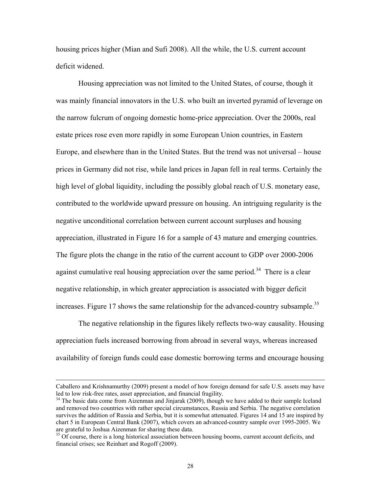housing prices higher (Mian and Sufi 2008). All the while, the U.S. current account deficit widened.

Housing appreciation was not limited to the United States, of course, though it was mainly financial innovators in the U.S. who built an inverted pyramid of leverage on the narrow fulcrum of ongoing domestic home-price appreciation. Over the 2000s, real estate prices rose even more rapidly in some European Union countries, in Eastern Europe, and elsewhere than in the United States. But the trend was not universal – house prices in Germany did not rise, while land prices in Japan fell in real terms. Certainly the high level of global liquidity, including the possibly global reach of U.S. monetary ease, contributed to the worldwide upward pressure on housing. An intriguing regularity is the negative unconditional correlation between current account surpluses and housing appreciation, illustrated in Figure 16 for a sample of 43 mature and emerging countries. The figure plots the change in the ratio of the current account to GDP over 2000-2006 against cumulative real housing appreciation over the same period.<sup>34</sup> There is a clear negative relationship, in which greater appreciation is associated with bigger deficit increases. Figure 17 shows the same relationship for the advanced-country subsample.<sup>35</sup>

 The negative relationship in the figures likely reflects two-way causality. Housing appreciation fuels increased borrowing from abroad in several ways, whereas increased availability of foreign funds could ease domestic borrowing terms and encourage housing

l

Caballero and Krishnamurthy (2009) present a model of how foreign demand for safe U.S. assets may have led to low risk-free rates, asset appreciation, and financial fragility.

<sup>&</sup>lt;sup>34</sup> The basic data come from Aizenman and Jinjarak (2009), though we have added to their sample Iceland and removed two countries with rather special circumstances, Russia and Serbia. The negative correlation survives the addition of Russia and Serbia, but it is somewhat attenuated. Figures 14 and 15 are inspired by chart 5 in European Central Bank (2007), which covers an advanced-country sample over 1995-2005. We are grateful to Joshua Aizenman for sharing these data.

<sup>&</sup>lt;sup>35</sup> Of course, there is a long historical association between housing booms, current account deficits, and financial crises; see Reinhart and Rogoff (2009).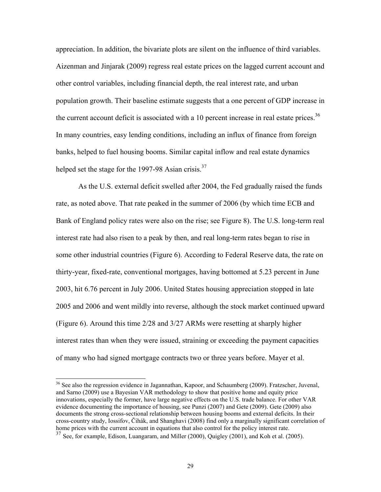appreciation. In addition, the bivariate plots are silent on the influence of third variables. Aizenman and Jinjarak (2009) regress real estate prices on the lagged current account and other control variables, including financial depth, the real interest rate, and urban population growth. Their baseline estimate suggests that a one percent of GDP increase in the current account deficit is associated with a 10 percent increase in real estate prices.<sup>36</sup> In many countries, easy lending conditions, including an influx of finance from foreign banks, helped to fuel housing booms. Similar capital inflow and real estate dynamics helped set the stage for the 1997-98 Asian crisis. $37$ 

As the U.S. external deficit swelled after 2004, the Fed gradually raised the funds rate, as noted above. That rate peaked in the summer of 2006 (by which time ECB and Bank of England policy rates were also on the rise; see Figure 8). The U.S. long-term real interest rate had also risen to a peak by then, and real long-term rates began to rise in some other industrial countries (Figure 6). According to Federal Reserve data, the rate on thirty-year, fixed-rate, conventional mortgages, having bottomed at 5.23 percent in June 2003, hit 6.76 percent in July 2006. United States housing appreciation stopped in late 2005 and 2006 and went mildly into reverse, although the stock market continued upward (Figure 6). Around this time 2/28 and 3/27 ARMs were resetting at sharply higher interest rates than when they were issued, straining or exceeding the payment capacities of many who had signed mortgage contracts two or three years before. Mayer et al.

<sup>&</sup>lt;sup>36</sup> See also the regression evidence in Jagannathan, Kapoor, and Schaumberg (2009). Fratzscher, Juvenal, and Sarno (2009) use a Bayesian VAR methodology to show that positive home and equity price innovations, especially the former, have large negative effects on the U.S. trade balance. For other VAR evidence documenting the importance of housing, see Punzi (2007) and Gete (2009). Gete (2009) also documents the strong cross-sectional relationship between housing booms and external deficits. In their cross-country study, Iossifov, Čihák, and Shanghavi (2008) find only a marginally significant correlation of home prices with the current account in equations that also control for the policy interest rate.

 $37$  See, for example, Edison, Luangaram, and Miller (2000), Quigley (2001), and Koh et al. (2005).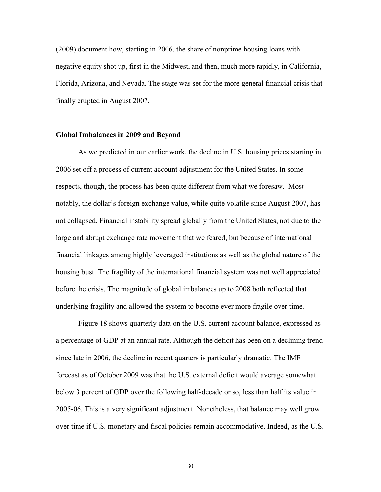(2009) document how, starting in 2006, the share of nonprime housing loans with negative equity shot up, first in the Midwest, and then, much more rapidly, in California, Florida, Arizona, and Nevada. The stage was set for the more general financial crisis that finally erupted in August 2007.

#### **Global Imbalances in 2009 and Beyond**

As we predicted in our earlier work, the decline in U.S. housing prices starting in 2006 set off a process of current account adjustment for the United States. In some respects, though, the process has been quite different from what we foresaw. Most notably, the dollar's foreign exchange value, while quite volatile since August 2007, has not collapsed. Financial instability spread globally from the United States, not due to the large and abrupt exchange rate movement that we feared, but because of international financial linkages among highly leveraged institutions as well as the global nature of the housing bust. The fragility of the international financial system was not well appreciated before the crisis. The magnitude of global imbalances up to 2008 both reflected that underlying fragility and allowed the system to become ever more fragile over time.

Figure 18 shows quarterly data on the U.S. current account balance, expressed as a percentage of GDP at an annual rate. Although the deficit has been on a declining trend since late in 2006, the decline in recent quarters is particularly dramatic. The IMF forecast as of October 2009 was that the U.S. external deficit would average somewhat below 3 percent of GDP over the following half-decade or so, less than half its value in 2005-06. This is a very significant adjustment. Nonetheless, that balance may well grow over time if U.S. monetary and fiscal policies remain accommodative. Indeed, as the U.S.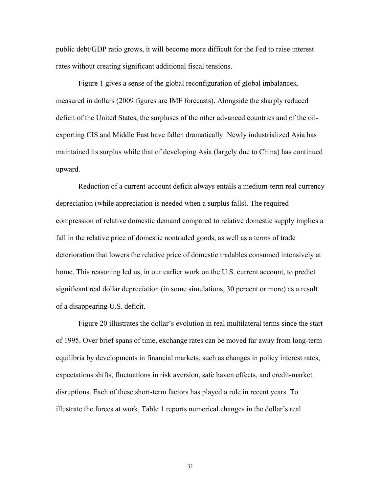public debt/GDP ratio grows, it will become more difficult for the Fed to raise interest rates without creating significant additional fiscal tensions.

Figure 1 gives a sense of the global reconfiguration of global imbalances, measured in dollars (2009 figures are IMF forecasts). Alongside the sharply reduced deficit of the United States, the surpluses of the other advanced countries and of the oilexporting CIS and Middle East have fallen dramatically. Newly industrialized Asia has maintained its surplus while that of developing Asia (largely due to China) has continued upward.

Reduction of a current-account deficit always entails a medium-term real currency depreciation (while appreciation is needed when a surplus falls). The required compression of relative domestic demand compared to relative domestic supply implies a fall in the relative price of domestic nontraded goods, as well as a terms of trade deterioration that lowers the relative price of domestic tradables consumed intensively at home. This reasoning led us, in our earlier work on the U.S. current account, to predict significant real dollar depreciation (in some simulations, 30 percent or more) as a result of a disappearing U.S. deficit.

Figure 20 illustrates the dollar's evolution in real multilateral terms since the start of 1995. Over brief spans of time, exchange rates can be moved far away from long-term equilibria by developments in financial markets, such as changes in policy interest rates, expectations shifts, fluctuations in risk aversion, safe haven effects, and credit-market disruptions. Each of these short-term factors has played a role in recent years. To illustrate the forces at work, Table 1 reports numerical changes in the dollar's real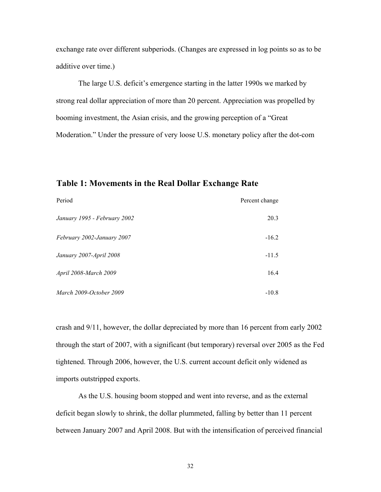exchange rate over different subperiods. (Changes are expressed in log points so as to be additive over time.)

The large U.S. deficit's emergence starting in the latter 1990s we marked by strong real dollar appreciation of more than 20 percent. Appreciation was propelled by booming investment, the Asian crisis, and the growing perception of a "Great Moderation." Under the pressure of very loose U.S. monetary policy after the dot-com

# **Table 1: Movements in the Real Dollar Exchange Rate**

| Period                       | Percent change |
|------------------------------|----------------|
| January 1995 - February 2002 | 20.3           |
| February 2002-January 2007   | $-16.2$        |
| January 2007-April 2008      | $-11.5$        |
| April 2008-March 2009        | 16.4           |
| March 2009-October 2009      | $-10.8$        |

crash and 9/11, however, the dollar depreciated by more than 16 percent from early 2002 through the start of 2007, with a significant (but temporary) reversal over 2005 as the Fed tightened. Through 2006, however, the U.S. current account deficit only widened as imports outstripped exports.

 As the U.S. housing boom stopped and went into reverse, and as the external deficit began slowly to shrink, the dollar plummeted, falling by better than 11 percent between January 2007 and April 2008. But with the intensification of perceived financial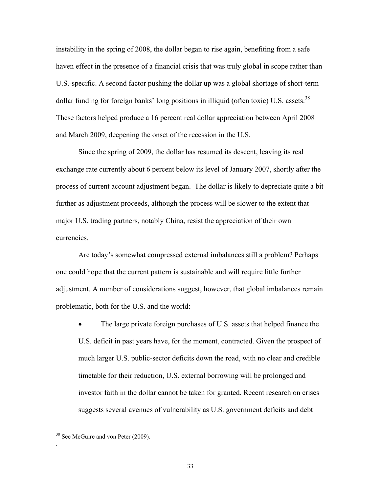instability in the spring of 2008, the dollar began to rise again, benefiting from a safe haven effect in the presence of a financial crisis that was truly global in scope rather than U.S.-specific. A second factor pushing the dollar up was a global shortage of short-term dollar funding for foreign banks' long positions in illiquid (often toxic) U.S. assets.<sup>38</sup> These factors helped produce a 16 percent real dollar appreciation between April 2008 and March 2009, deepening the onset of the recession in the U.S.

Since the spring of 2009, the dollar has resumed its descent, leaving its real exchange rate currently about 6 percent below its level of January 2007, shortly after the process of current account adjustment began. The dollar is likely to depreciate quite a bit further as adjustment proceeds, although the process will be slower to the extent that major U.S. trading partners, notably China, resist the appreciation of their own currencies.

Are today's somewhat compressed external imbalances still a problem? Perhaps one could hope that the current pattern is sustainable and will require little further adjustment. A number of considerations suggest, however, that global imbalances remain problematic, both for the U.S. and the world:

• The large private foreign purchases of U.S. assets that helped finance the U.S. deficit in past years have, for the moment, contracted. Given the prospect of much larger U.S. public-sector deficits down the road, with no clear and credible timetable for their reduction, U.S. external borrowing will be prolonged and investor faith in the dollar cannot be taken for granted. Recent research on crises suggests several avenues of vulnerability as U.S. government deficits and debt

 $\overline{\phantom{a}}$ 

.

<sup>&</sup>lt;sup>38</sup> See McGuire and von Peter (2009).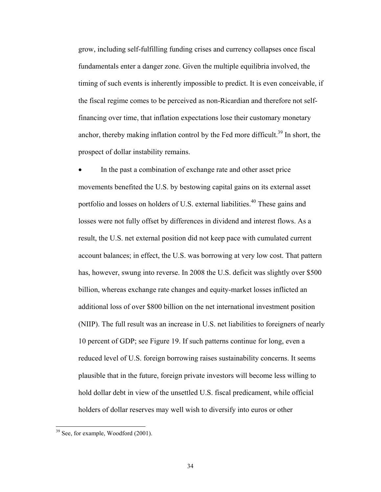grow, including self-fulfilling funding crises and currency collapses once fiscal fundamentals enter a danger zone. Given the multiple equilibria involved, the timing of such events is inherently impossible to predict. It is even conceivable, if the fiscal regime comes to be perceived as non-Ricardian and therefore not selffinancing over time, that inflation expectations lose their customary monetary anchor, thereby making inflation control by the Fed more difficult.<sup>39</sup> In short, the prospect of dollar instability remains.

In the past a combination of exchange rate and other asset price movements benefited the U.S. by bestowing capital gains on its external asset portfolio and losses on holders of U.S. external liabilities.<sup>40</sup> These gains and losses were not fully offset by differences in dividend and interest flows. As a result, the U.S. net external position did not keep pace with cumulated current account balances; in effect, the U.S. was borrowing at very low cost. That pattern has, however, swung into reverse. In 2008 the U.S. deficit was slightly over \$500 billion, whereas exchange rate changes and equity-market losses inflicted an additional loss of over \$800 billion on the net international investment position (NIIP). The full result was an increase in U.S. net liabilities to foreigners of nearly 10 percent of GDP; see Figure 19. If such patterns continue for long, even a reduced level of U.S. foreign borrowing raises sustainability concerns. It seems plausible that in the future, foreign private investors will become less willing to hold dollar debt in view of the unsettled U.S. fiscal predicament, while official holders of dollar reserves may well wish to diversify into euros or other

l

<sup>&</sup>lt;sup>39</sup> See, for example, Woodford (2001).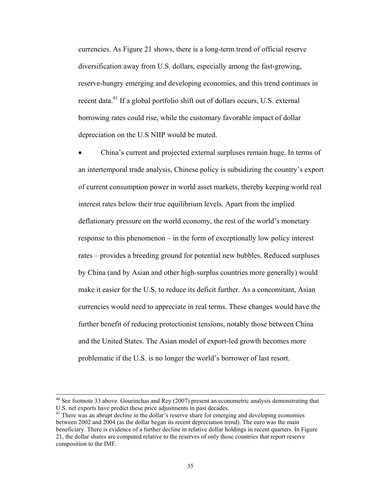currencies. As Figure 21 shows, there is a long-term trend of official reserve diversification away from U.S. dollars, especially among the fast-growing, reserve-hungry emerging and developing economies, and this trend continues in recent data.<sup>41</sup> If a global portfolio shift out of dollars occurs, U.S. external borrowing rates could rise, while the customary favorable impact of dollar depreciation on the U.S NIIP would be muted.

• China's current and projected external surpluses remain huge. In terms of an intertemporal trade analysis, Chinese policy is subsidizing the country's export of current consumption power in world asset markets, thereby keeping world real interest rates below their true equilibrium levels. Apart from the implied deflationary pressure on the world economy, the rest of the world's monetary response to this phenomenon – in the form of exceptionally low policy interest rates – provides a breeding ground for potential new bubbles. Reduced surpluses by China (and by Asian and other high-surplus countries more generally) would make it easier for the U.S. to reduce its deficit further. As a concomitant, Asian currencies would need to appreciate in real terms. These changes would have the further benefit of reducing protectionist tensions, notably those between China and the United States. The Asian model of export-led growth becomes more problematic if the U.S. is no longer the world's borrower of last resort.

<sup>&</sup>lt;sup>40</sup> See footnote 33 above. Gourinchas and Rey (2007) present an econometric analysis demonstrating that U.S. net exports have predict these price adjustments in past decades.

<sup>&</sup>lt;sup>41</sup> There was an abrupt decline in the dollar's reserve share for emerging and developing economies between 2002 and 2004 (as the dollar began its recent depreciation trend). The euro was the main beneficiary. There is evidence of a further decline in relative dollar holdings in recent quarters. In Figure 21, the dollar shares are computed relative to the reserves of only those countries that report reserve composition to the IMF.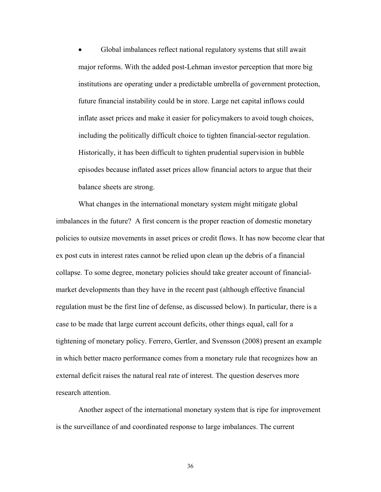• Global imbalances reflect national regulatory systems that still await major reforms. With the added post-Lehman investor perception that more big institutions are operating under a predictable umbrella of government protection, future financial instability could be in store. Large net capital inflows could inflate asset prices and make it easier for policymakers to avoid tough choices, including the politically difficult choice to tighten financial-sector regulation. Historically, it has been difficult to tighten prudential supervision in bubble episodes because inflated asset prices allow financial actors to argue that their balance sheets are strong.

What changes in the international monetary system might mitigate global imbalances in the future? A first concern is the proper reaction of domestic monetary policies to outsize movements in asset prices or credit flows. It has now become clear that ex post cuts in interest rates cannot be relied upon clean up the debris of a financial collapse. To some degree, monetary policies should take greater account of financialmarket developments than they have in the recent past (although effective financial regulation must be the first line of defense, as discussed below). In particular, there is a case to be made that large current account deficits, other things equal, call for a tightening of monetary policy. Ferrero, Gertler, and Svensson (2008) present an example in which better macro performance comes from a monetary rule that recognizes how an external deficit raises the natural real rate of interest. The question deserves more research attention.

Another aspect of the international monetary system that is ripe for improvement is the surveillance of and coordinated response to large imbalances. The current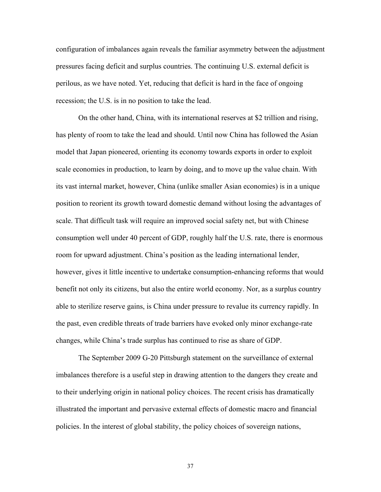configuration of imbalances again reveals the familiar asymmetry between the adjustment pressures facing deficit and surplus countries. The continuing U.S. external deficit is perilous, as we have noted. Yet, reducing that deficit is hard in the face of ongoing recession; the U.S. is in no position to take the lead.

On the other hand, China, with its international reserves at \$2 trillion and rising, has plenty of room to take the lead and should. Until now China has followed the Asian model that Japan pioneered, orienting its economy towards exports in order to exploit scale economies in production, to learn by doing, and to move up the value chain. With its vast internal market, however, China (unlike smaller Asian economies) is in a unique position to reorient its growth toward domestic demand without losing the advantages of scale. That difficult task will require an improved social safety net, but with Chinese consumption well under 40 percent of GDP, roughly half the U.S. rate, there is enormous room for upward adjustment. China's position as the leading international lender, however, gives it little incentive to undertake consumption-enhancing reforms that would benefit not only its citizens, but also the entire world economy. Nor, as a surplus country able to sterilize reserve gains, is China under pressure to revalue its currency rapidly. In the past, even credible threats of trade barriers have evoked only minor exchange-rate changes, while China's trade surplus has continued to rise as share of GDP.

The September 2009 G-20 Pittsburgh statement on the surveillance of external imbalances therefore is a useful step in drawing attention to the dangers they create and to their underlying origin in national policy choices. The recent crisis has dramatically illustrated the important and pervasive external effects of domestic macro and financial policies. In the interest of global stability, the policy choices of sovereign nations,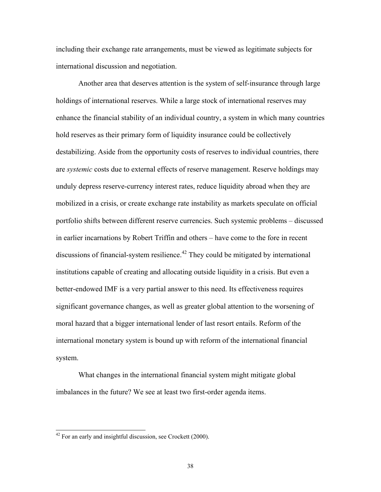including their exchange rate arrangements, must be viewed as legitimate subjects for international discussion and negotiation.

Another area that deserves attention is the system of self-insurance through large holdings of international reserves. While a large stock of international reserves may enhance the financial stability of an individual country, a system in which many countries hold reserves as their primary form of liquidity insurance could be collectively destabilizing. Aside from the opportunity costs of reserves to individual countries, there are *systemic* costs due to external effects of reserve management. Reserve holdings may unduly depress reserve-currency interest rates, reduce liquidity abroad when they are mobilized in a crisis, or create exchange rate instability as markets speculate on official portfolio shifts between different reserve currencies. Such systemic problems – discussed in earlier incarnations by Robert Triffin and others – have come to the fore in recent discussions of financial-system resilience.<sup> $42$ </sup> They could be mitigated by international institutions capable of creating and allocating outside liquidity in a crisis. But even a better-endowed IMF is a very partial answer to this need. Its effectiveness requires significant governance changes, as well as greater global attention to the worsening of moral hazard that a bigger international lender of last resort entails. Reform of the international monetary system is bound up with reform of the international financial system.

What changes in the international financial system might mitigate global imbalances in the future? We see at least two first-order agenda items.

 $42$  For an early and insightful discussion, see Crockett (2000).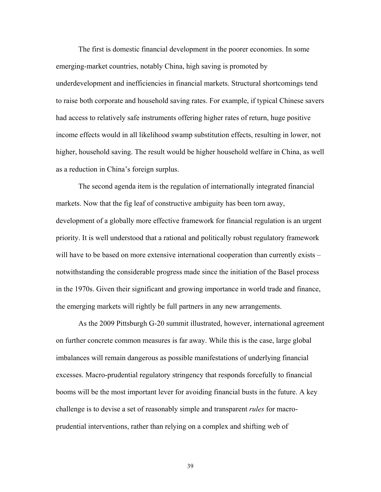The first is domestic financial development in the poorer economies. In some emerging-market countries, notably China, high saving is promoted by underdevelopment and inefficiencies in financial markets. Structural shortcomings tend to raise both corporate and household saving rates. For example, if typical Chinese savers had access to relatively safe instruments offering higher rates of return, huge positive income effects would in all likelihood swamp substitution effects, resulting in lower, not higher, household saving. The result would be higher household welfare in China, as well as a reduction in China's foreign surplus.

The second agenda item is the regulation of internationally integrated financial markets. Now that the fig leaf of constructive ambiguity has been torn away, development of a globally more effective framework for financial regulation is an urgent priority. It is well understood that a rational and politically robust regulatory framework will have to be based on more extensive international cooperation than currently exists – notwithstanding the considerable progress made since the initiation of the Basel process in the 1970s. Given their significant and growing importance in world trade and finance, the emerging markets will rightly be full partners in any new arrangements.

As the 2009 Pittsburgh G-20 summit illustrated, however, international agreement on further concrete common measures is far away. While this is the case, large global imbalances will remain dangerous as possible manifestations of underlying financial excesses. Macro-prudential regulatory stringency that responds forcefully to financial booms will be the most important lever for avoiding financial busts in the future. A key challenge is to devise a set of reasonably simple and transparent *rules* for macroprudential interventions, rather than relying on a complex and shifting web of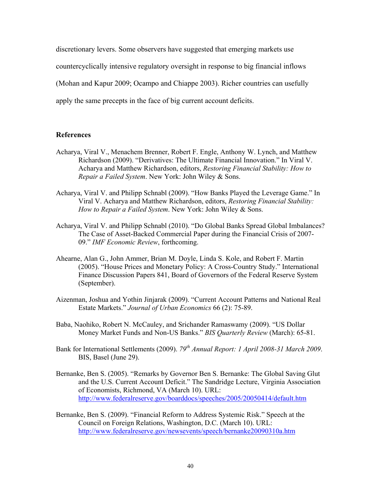discretionary levers. Some observers have suggested that emerging markets use countercyclically intensive regulatory oversight in response to big financial inflows (Mohan and Kapur 2009; Ocampo and Chiappe 2003). Richer countries can usefully apply the same precepts in the face of big current account deficits.

## **References**

- Acharya, Viral V., Menachem Brenner, Robert F. Engle, Anthony W. Lynch, and Matthew Richardson (2009). "Derivatives: The Ultimate Financial Innovation." In Viral V. Acharya and Matthew Richardson, editors, *Restoring Financial Stability: How to Repair a Failed System*. New York: John Wiley & Sons.
- Acharya, Viral V. and Philipp Schnabl (2009). "How Banks Played the Leverage Game." In Viral V. Acharya and Matthew Richardson, editors, *Restoring Financial Stability: How to Repair a Failed System*. New York: John Wiley & Sons.
- Acharya, Viral V. and Philipp Schnabl (2010). "Do Global Banks Spread Global Imbalances? The Case of Asset-Backed Commercial Paper during the Financial Crisis of 2007- 09." *IMF Economic Review*, forthcoming.
- Ahearne, Alan G., John Ammer, Brian M. Doyle, Linda S. Kole, and Robert F. Martin (2005). "House Prices and Monetary Policy: A Cross-Country Study." International Finance Discussion Papers 841, Board of Governors of the Federal Reserve System (September).
- Aizenman, Joshua and Yothin Jinjarak (2009). "Current Account Patterns and National Real Estate Markets." *Journal of Urban Economics* 66 (2): 75-89.
- Baba, Naohiko, Robert N. McCauley, and Srichander Ramaswamy (2009). "US Dollar Money Market Funds and Non-US Banks." *BIS Quarterly Review* (March): 65-81.
- Bank for International Settlements (2009). *79th Annual Report: 1 April 2008-31 March 2009*. BIS, Basel (June 29).
- Bernanke, Ben S. (2005). "Remarks by Governor Ben S. Bernanke: The Global Saving Glut and the U.S. Current Account Deficit." The Sandridge Lecture, Virginia Association of Economists, Richmond, VA (March 10). URL: http://www.federalreserve.gov/boarddocs/speeches/2005/20050414/default.htm
- Bernanke, Ben S. (2009). "Financial Reform to Address Systemic Risk." Speech at the Council on Foreign Relations, Washington, D.C. (March 10). URL: http://www.federalreserve.gov/newsevents/speech/bernanke20090310a.htm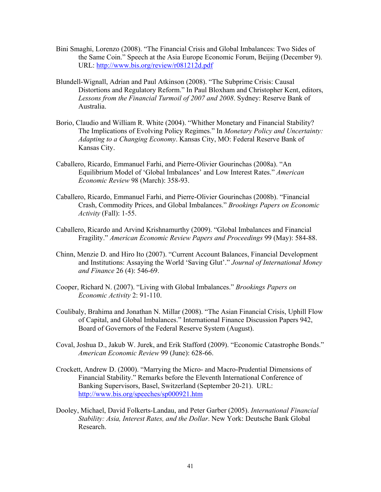- Bini Smaghi, Lorenzo (2008). "The Financial Crisis and Global Imbalances: Two Sides of the Same Coin." Speech at the Asia Europe Economic Forum, Beijing (December 9). URL: http://www.bis.org/review/r081212d.pdf
- Blundell-Wignall, Adrian and Paul Atkinson (2008). "The Subprime Crisis: Causal Distortions and Regulatory Reform." In Paul Bloxham and Christopher Kent, editors, *Lessons from the Financial Turmoil of 2007 and 2008*. Sydney: Reserve Bank of Australia.
- Borio, Claudio and William R. White (2004). "Whither Monetary and Financial Stability? The Implications of Evolving Policy Regimes." In *Monetary Policy and Uncertainty: Adapting to a Changing Economy*. Kansas City, MO: Federal Reserve Bank of Kansas City.
- Caballero, Ricardo, Emmanuel Farhi, and Pierre-Olivier Gourinchas (2008a). "An Equilibrium Model of 'Global Imbalances' and Low Interest Rates." *American Economic Review* 98 (March): 358-93.
- Caballero, Ricardo, Emmanuel Farhi, and Pierre-Olivier Gourinchas (2008b). "Financial Crash, Commodity Prices, and Global Imbalances." *Brookings Papers on Economic Activity* (Fall): 1-55.
- Caballero, Ricardo and Arvind Krishnamurthy (2009). "Global Imbalances and Financial Fragility." *American Economic Review Papers and Proceedings* 99 (May): 584-88.
- Chinn, Menzie D. and Hiro Ito (2007). "Current Account Balances, Financial Development and Institutions: Assaying the World 'Saving Glut'." *Journal of International Money and Finance* 26 (4): 546-69.
- Cooper, Richard N. (2007). "Living with Global Imbalances." *Brookings Papers on Economic Activity* 2: 91-110.
- Coulibaly, Brahima and Jonathan N. Millar (2008). "The Asian Financial Crisis, Uphill Flow of Capital, and Global Imbalances." International Finance Discussion Papers 942, Board of Governors of the Federal Reserve System (August).
- Coval, Joshua D., Jakub W. Jurek, and Erik Stafford (2009). "Economic Catastrophe Bonds." *American Economic Review* 99 (June): 628-66.
- Crockett, Andrew D. (2000). "Marrying the Micro- and Macro-Prudential Dimensions of Financial Stability." Remarks before the Eleventh International Conference of Banking Supervisors, Basel, Switzerland (September 20-21). URL: http://www.bis.org/speeches/sp000921.htm
- Dooley, Michael, David Folkerts-Landau, and Peter Garber (2005). *International Financial Stability: Asia, Interest Rates, and the Dollar*. New York: Deutsche Bank Global Research.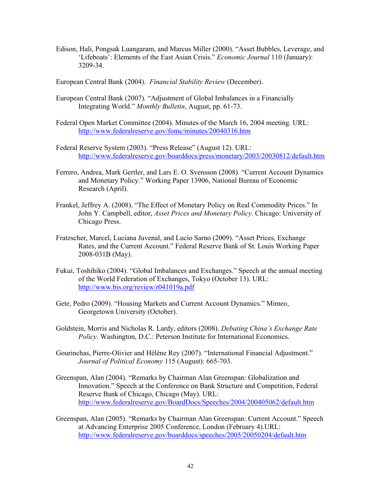Edison, Hali, Pongsak Luangaram, and Marcus Miller (2000). "Asset Bubbles, Leverage, and 'Lifeboats': Elements of the East Asian Crisis." *Economic Journal* 110 (January): 3209-34.

European Central Bank (2004). *Financial Stability Review* (December).

- European Central Bank (2007). "Adjustment of Global Imbalances in a Financially Integrating World." *Monthly Bulletin*, August, pp. 61-73.
- Federal Open Market Committee (2004). Minutes of the March 16, 2004 meeting. URL: http://www.federalreserve.gov/fomc/minutes/20040316.htm
- Federal Reserve System (2003). "Press Release" (August 12). URL: http://www.federalreserve.gov/boarddocs/press/monetary/2003/20030812/default.htm
- Ferrero, Andrea, Mark Gertler, and Lars E. O. Svensson (2008). "Current Account Dynamics and Monetary Policy." Working Paper 13906, National Bureau of Economic Research (April).
- Frankel, Jeffrey A. (2008). "The Effect of Monetary Policy on Real Commodity Prices." In John Y. Campbell, editor, *Asset Prices and Monetary Policy*. Chicago: University of Chicago Press.
- Fratzscher, Marcel, Luciana Juvenal, and Lucio Sarno (2009). "Asset Prices, Exchange Rates, and the Current Account." Federal Reserve Bank of St. Louis Working Paper 2008-031B (May).
- Fukui, Toshihiko (2004). "Global Imbalances and Exchanges." Speech at the annual meeting of the World Federation of Exchanges, Tokyo (October 13). URL: http://www.bis.org/review/r041019a.pdf
- Gete, Pedro (2009). "Housing Markets and Current Account Dynamics." Mimeo, Georgetown University (October).
- Goldstein, Morris and Nicholas R. Lardy, editors (2008). *Debating China's Exchange Rate Policy*. Washington, D.C.: Peterson Institute for International Economics.
- Gourinchas, Pierre-Olivier and Hélène Rey (2007). "International Financial Adjustment." *Journal of Political Economy* 115 (August): 665-703.
- Greenspan, Alan (2004). "Remarks by Chairman Alan Greenspan: Globalization and Innovation." Speech at the Conference on Bank Structure and Competition, Federal Reserve Bank of Chicago, Chicago (May). URL: http://www.federalreserve.gov/BoardDocs/Speeches/2004/200405062/default.htm
- Greenspan, Alan (2005). "Remarks by Chairman Alan Greenspan: Current Account." Speech at Advancing Enterprise 2005 Conference, London (February 4).URL: http://www.federalreserve.gov/boarddocs/speeches/2005/20050204/default.htm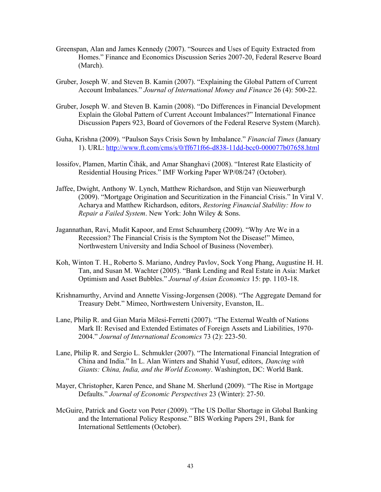- Greenspan, Alan and James Kennedy (2007). "Sources and Uses of Equity Extracted from Homes." Finance and Economics Discussion Series 2007-20, Federal Reserve Board (March).
- Gruber, Joseph W. and Steven B. Kamin (2007). "Explaining the Global Pattern of Current Account Imbalances." *Journal of International Money and Finance* 26 (4): 500-22.
- Gruber, Joseph W. and Steven B. Kamin (2008). "Do Differences in Financial Development Explain the Global Pattern of Current Account Imbalances?" International Finance Discussion Papers 923, Board of Governors of the Federal Reserve System (March).
- Guha, Krishna (2009). "Paulson Says Crisis Sown by Imbalance." *Financial Times* (January 1). URL: http://www.ft.com/cms/s/0/ff671f66-d838-11dd-bcc0-000077b07658.html
- Iossifov, Plamen, Martin Čihák, and Amar Shanghavi (2008). "Interest Rate Elasticity of Residential Housing Prices." IMF Working Paper WP/08/247 (October).
- Jaffee, Dwight, Anthony W. Lynch, Matthew Richardson, and Stijn van Nieuwerburgh (2009). "Mortgage Origination and Securitization in the Financial Crisis." In Viral V. Acharya and Matthew Richardson, editors, *Restoring Financial Stability: How to Repair a Failed System*. New York: John Wiley & Sons.
- Jagannathan, Ravi, Mudit Kapoor, and Ernst Schaumberg (2009). "Why Are We in a Recession? The Financial Crisis is the Symptom Not the Disease!" Mimeo, Northwestern University and India School of Business (November).
- Koh, Winton T. H., Roberto S. Mariano, Andrey Pavlov, Sock Yong Phang, Augustine H. H. Tan, and Susan M. Wachter (2005). "Bank Lending and Real Estate in Asia: Market Optimism and Asset Bubbles." *Journal of Asian Economics* 15: pp. 1103-18.
- Krishnamurthy, Arvind and Annette Vissing-Jorgensen (2008). "The Aggregate Demand for Treasury Debt." Mimeo, Northwestern University, Evanston, IL.
- Lane, Philip R. and Gian Maria Milesi-Ferretti (2007). "The External Wealth of Nations Mark II: Revised and Extended Estimates of Foreign Assets and Liabilities, 1970- 2004." *Journal of International Economics* 73 (2): 223-50.
- Lane, Philip R. and Sergio L. Schmukler (2007). "The International Financial Integration of China and India." In L. Alan Winters and Shahid Yusuf, editors, *Dancing with Giants: China, India, and the World Economy*. Washington, DC: World Bank.
- Mayer, Christopher, Karen Pence, and Shane M. Sherlund (2009). "The Rise in Mortgage Defaults." *Journal of Economic Perspectives* 23 (Winter): 27-50.
- McGuire, Patrick and Goetz von Peter (2009). "The US Dollar Shortage in Global Banking and the International Policy Response." BIS Working Papers 291, Bank for International Settlements (October).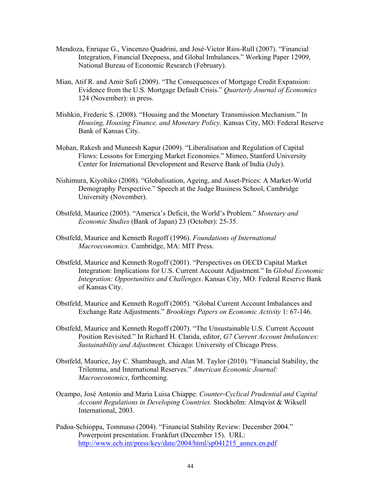- Mendoza, Enrique G., Vincenzo Quadrini, and José-Victor Rios-Rull (2007). "Financial Integration, Financial Deepness, and Global Imbalances." Working Paper 12909, National Bureau of Economic Research (February).
- Mian, Atif R. and Amir Sufi (2009). "The Consequences of Mortgage Credit Expansion: Evidence from the U.S. Mortgage Default Crisis." *Quarterly Journal of Economics* 124 (November): in press.
- Mishkin, Frederic S. (2008). "Housing and the Monetary Transmission Mechanism." In *Housing, Housing Finance, and Monetary Policy.* Kansas City, MO: Federal Reserve Bank of Kansas City.
- Mohan, Rakesh and Muneesh Kapur (2009). "Liberalisation and Regulation of Capital Flows: Lessons for Emerging Market Economies." Mimeo, Stanford University Center for International Development and Reserve Bank of India (July).
- Nishimura, Kiyohiko (2008). "Globalisation, Ageing, and Asset-Prices: A Market-World Demography Perspective." Speech at the Judge Business School, Cambridge University (November).
- Obstfeld, Maurice (2005). "America's Deficit, the World's Problem." *Monetary and Economic Studies* (Bank of Japan) 23 (October): 25-35.
- Obstfeld, Maurice and Kenneth Rogoff (1996). *Foundations of International Macroeconomics.* Cambridge, MA: MIT Press.
- Obstfeld, Maurice and Kenneth Rogoff (2001). "Perspectives on OECD Capital Market Integration: Implications for U.S. Current Account Adjustment." In *Global Economic Integration: Opportunities and Challenges*. Kansas City, MO: Federal Reserve Bank of Kansas City.
- Obstfeld, Maurice and Kenneth Rogoff (2005). "Global Current Account Imbalances and Exchange Rate Adjustments." *Brookings Papers on Economic Activity* 1: 67-146.
- Obstfeld, Maurice and Kenneth Rogoff (2007). "The Unsustainable U.S. Current Account Position Revisited." In Richard H. Clarida, editor, *G7 Current Account Imbalances: Sustainability and Adjustment.* Chicago: University of Chicago Press.
- Obstfeld, Maurice, Jay C. Shambaugh, and Alan M. Taylor (2010). "Financial Stability, the Trilemma, and International Reserves." *American Economic Journal: Macroeconomics*, forthcoming.
- Ocampo, José Antonio and Maria Luisa Chiappe. *Counter-Cyclical Prudential and Capital Account Regulations in Developing Countries.* Stockholm: Almqvist & Wiksell International, 2003.
- Padoa-Schioppa, Tommaso (2004). "Financial Stability Review: December 2004." Powerpoint presentation. Frankfurt (December 15). URL: http://www.ecb.int/press/key/date/2004/html/sp041215\_annex.en.pdf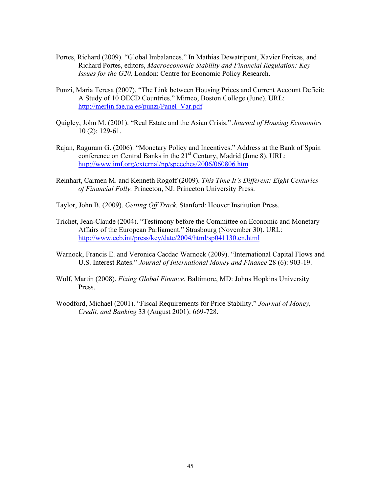- Portes, Richard (2009). "Global Imbalances." In Mathias Dewatripont, Xavier Freixas, and Richard Portes, editors, *Macroeconomic Stability and Financial Regulation: Key Issues for the G20*. London: Centre for Economic Policy Research.
- Punzi, Maria Teresa (2007). "The Link between Housing Prices and Current Account Deficit: A Study of 10 OECD Countries." Mimeo, Boston College (June). URL: http://merlin.fae.ua.es/punzi/Panel\_Var.pdf
- Quigley, John M. (2001). "Real Estate and the Asian Crisis." *Journal of Housing Economics* 10 (2): 129-61.
- Rajan, Raguram G. (2006). "Monetary Policy and Incentives." Address at the Bank of Spain conference on Central Banks in the 21<sup>st</sup> Century, Madrid (June 8). URL: http://www.imf.org/external/np/speeches/2006/060806.htm
- Reinhart, Carmen M. and Kenneth Rogoff (2009). *This Time It's Different: Eight Centuries of Financial Folly.* Princeton, NJ: Princeton University Press.
- Taylor, John B. (2009). *Getting Off Track.* Stanford: Hoover Institution Press.
- Trichet, Jean-Claude (2004). "Testimony before the Committee on Economic and Monetary Affairs of the European Parliament." Strasbourg (November 30). URL: http://www.ecb.int/press/key/date/2004/html/sp041130.en.html
- Warnock, Francis E. and Veronica Cacdac Warnock (2009). "International Capital Flows and U.S. Interest Rates." *Journal of International Money and Finance* 28 (6): 903-19.
- Wolf, Martin (2008). *Fixing Global Finance.* Baltimore, MD: Johns Hopkins University Press.
- Woodford, Michael (2001). "Fiscal Requirements for Price Stability." *Journal of Money, Credit, and Banking* 33 (August 2001): 669-728.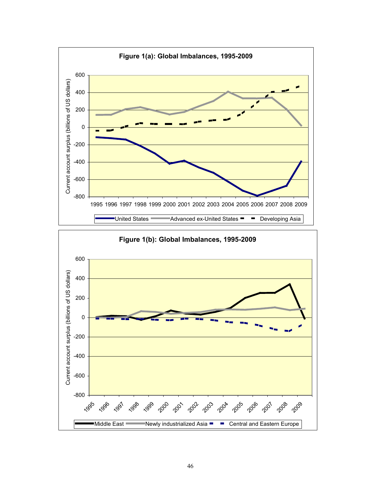

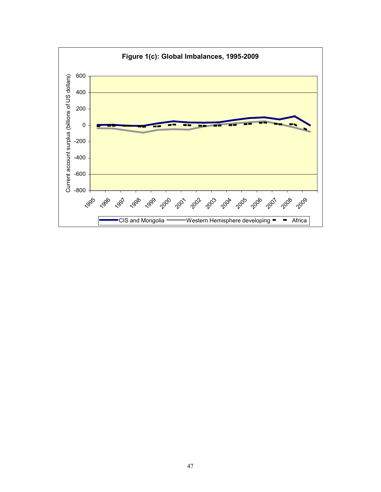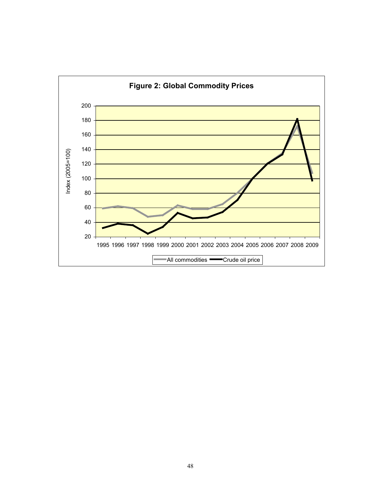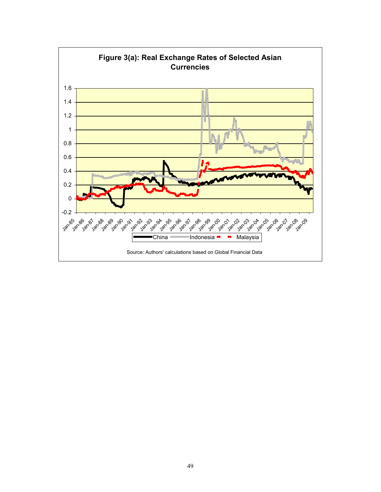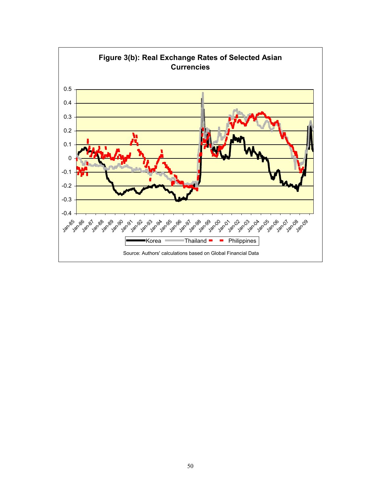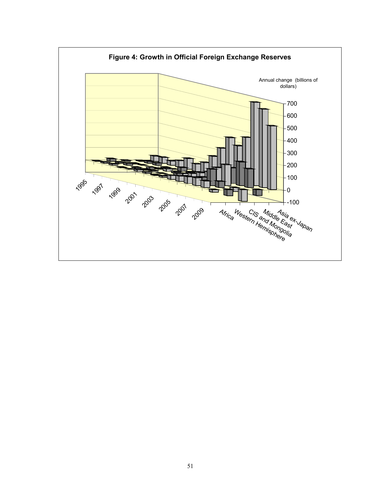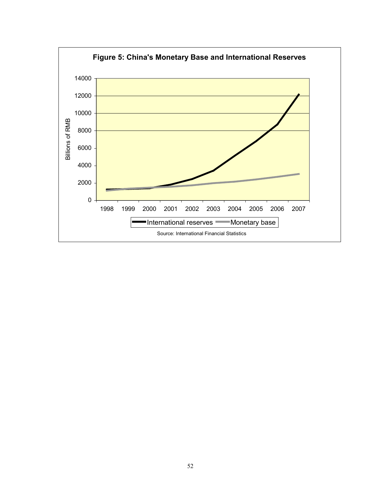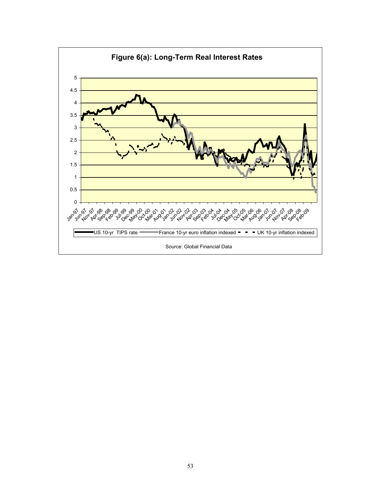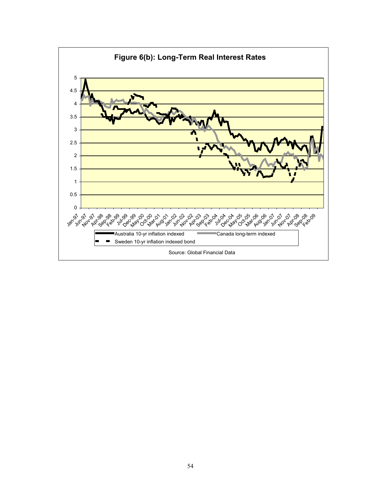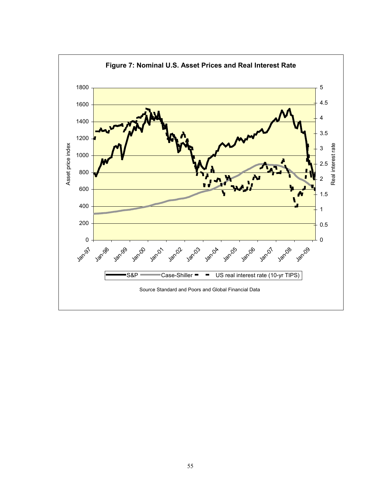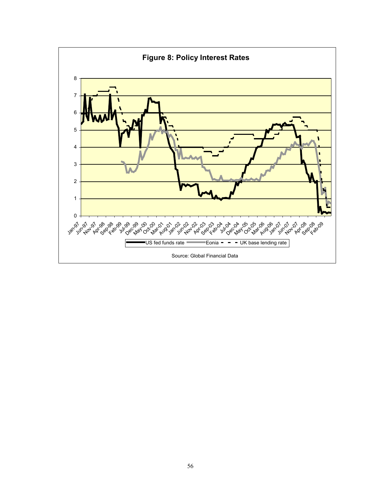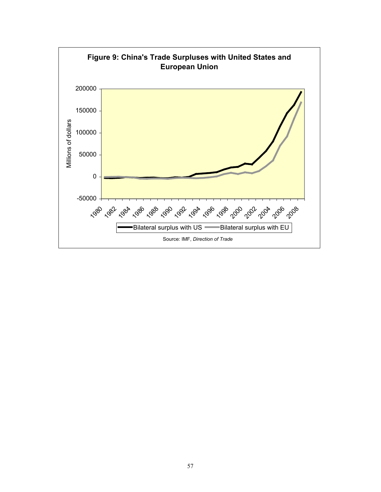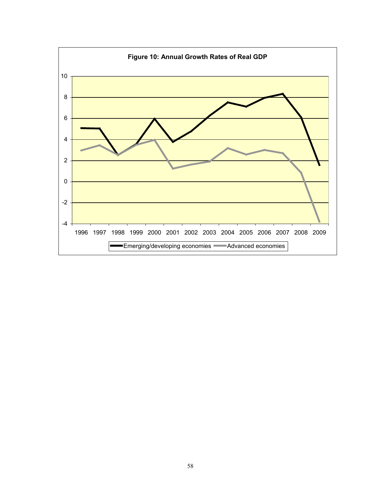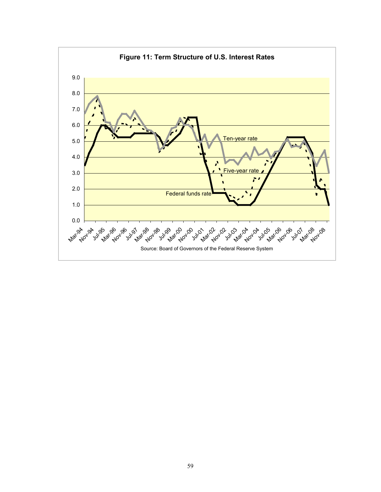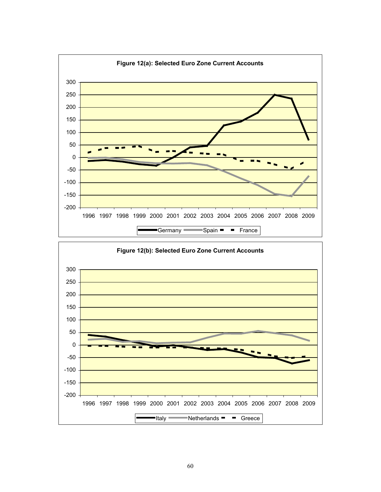![](_page_60_Figure_0.jpeg)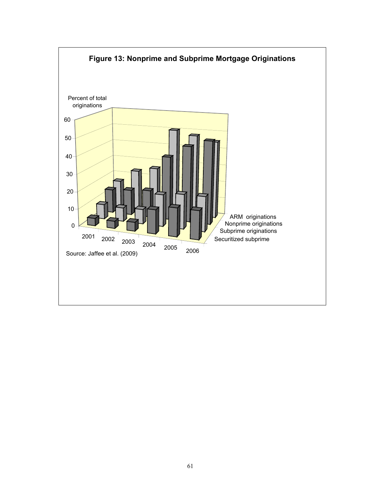![](_page_61_Figure_0.jpeg)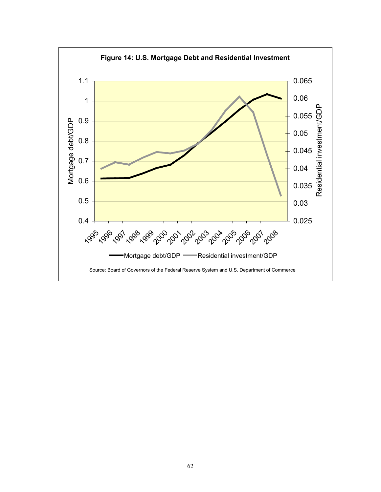![](_page_62_Figure_0.jpeg)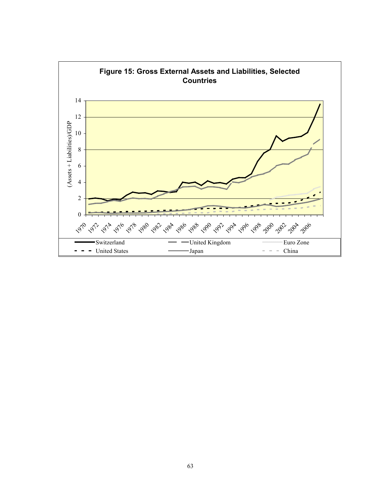![](_page_63_Figure_0.jpeg)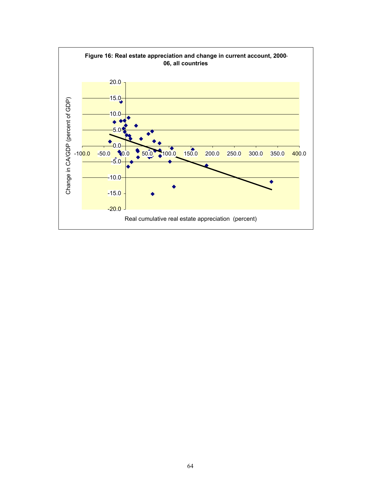![](_page_64_Figure_0.jpeg)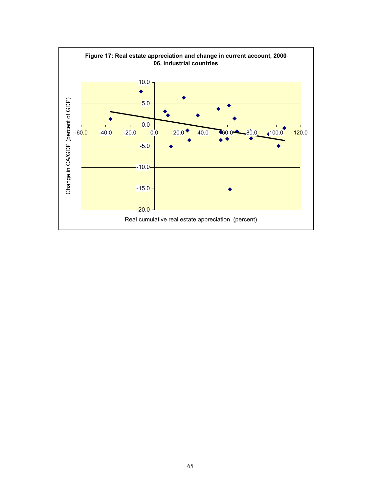![](_page_65_Figure_0.jpeg)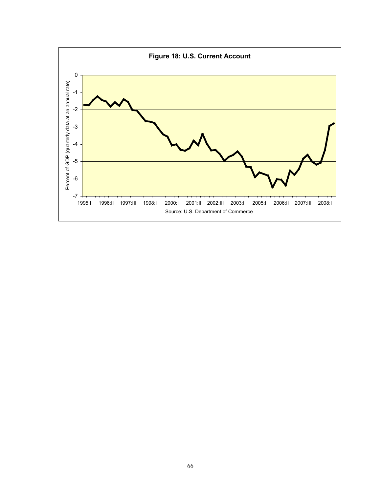![](_page_66_Figure_0.jpeg)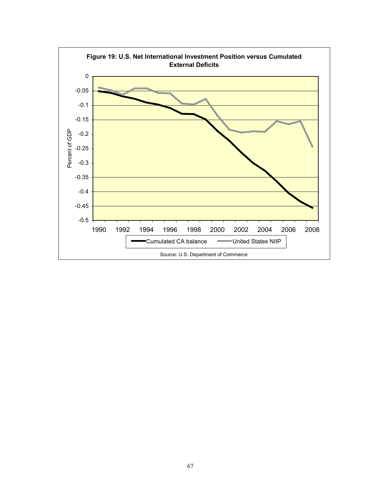![](_page_67_Figure_0.jpeg)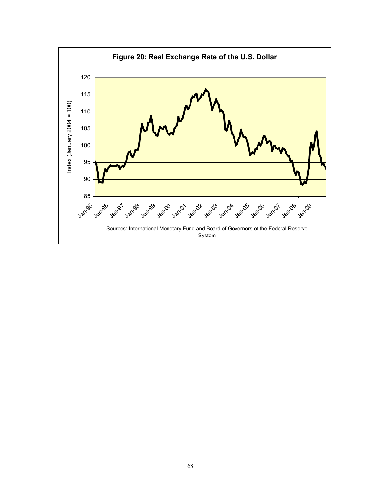![](_page_68_Figure_0.jpeg)